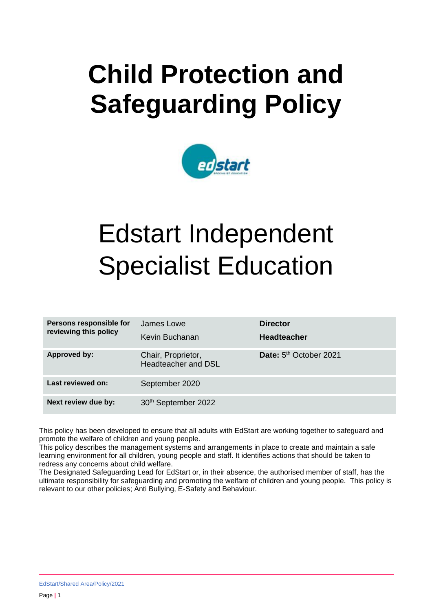# **Child Protection and Safeguarding Policy**



# Edstart Independent Specialist Education

| Persons responsible for<br>reviewing this policy | James Lowe                                       | <b>Director</b><br><b>Headteacher</b> |
|--------------------------------------------------|--------------------------------------------------|---------------------------------------|
|                                                  | Kevin Buchanan                                   |                                       |
| <b>Approved by:</b>                              | Chair, Proprietor,<br><b>Headteacher and DSL</b> | Date: 5 <sup>th</sup> October 2021    |
| Last reviewed on:                                | September 2020                                   |                                       |
| Next review due by:                              | 30 <sup>th</sup> September 2022                  |                                       |

This policy has been developed to ensure that all adults with EdStart are working together to safeguard and promote the welfare of children and young people.

This policy describes the management systems and arrangements in place to create and maintain a safe learning environment for all children, young people and staff. It identifies actions that should be taken to redress any concerns about child welfare.

The Designated Safeguarding Lead for EdStart or, in their absence, the authorised member of staff, has the ultimate responsibility for safeguarding and promoting the welfare of children and young people. This policy is relevant to our other policies; Anti Bullying, E-Safety and Behaviour.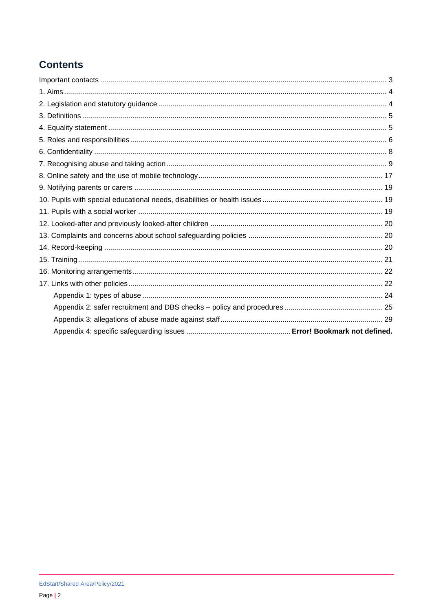# **Contents**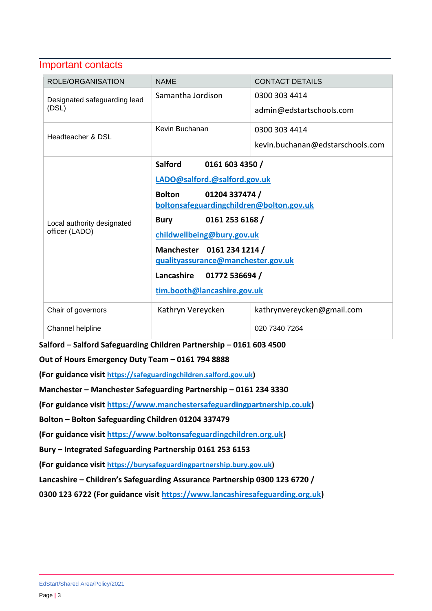# <span id="page-2-0"></span>Important contacts

| ROLE/ORGANISATION            | <b>NAME</b>                                                                 | <b>CONTACT DETAILS</b>           |  |
|------------------------------|-----------------------------------------------------------------------------|----------------------------------|--|
| Designated safeguarding lead | Samantha Jordison                                                           | 0300 303 4414                    |  |
| (DSL)                        |                                                                             | admin@edstartschools.com         |  |
| Headteacher & DSL            | Kevin Buchanan                                                              | 0300 303 4414                    |  |
|                              |                                                                             | kevin.buchanan@edstarschools.com |  |
|                              | <b>Salford</b><br>0161 603 4350 /                                           |                                  |  |
|                              | LADO@salford.@salford.gov.uk                                                |                                  |  |
|                              | <b>Bolton</b><br>01204 337474 /<br>boltonsafeguardingchildren@bolton.gov.uk |                                  |  |
| Local authority designated   | 0161 253 6168 /<br><b>Bury</b>                                              |                                  |  |
| officer (LADO)               | childwellbeing@bury.gov.uk                                                  |                                  |  |
|                              | Manchester 0161 234 1214 /<br>qualityassurance@manchester.gov.uk            |                                  |  |
|                              | Lancashire<br>01772 536694 /                                                |                                  |  |
|                              | tim.booth@lancashire.gov.uk                                                 |                                  |  |
| Chair of governors           | Kathryn Vereycken                                                           | kathrynvereycken@gmail.com       |  |
| Channel helpline             |                                                                             | 020 7340 7264                    |  |

**Salford – Salford Safeguarding Children Partnership – 0161 603 4500**

## **Out of Hours Emergency Duty Team – 0161 794 8888**

**(For guidance visit [https://safeguardingchildren.salford.gov.uk\)](https://safeguardingchildren.salford.gov.uk/)**

**Manchester – Manchester Safeguarding Partnership – 0161 234 3330**

**(For guidance visit [https://www.manchestersafeguardingpartnership.co.uk\)](https://www.manchestersafeguardingpartnership.co.uk/)**

**Bolton – Bolton Safeguarding Children 01204 337479**

**(For guidance visit [https://www.boltonsafeguardingchildren.org.uk\)](https://www.boltonsafeguardingchildren.org.uk/)**

**Bury – Integrated Safeguarding Partnership 0161 253 6153**

**(For guidance visit [https://burysafeguardingpartnership.bury.gov.uk\)](https://burysafeguardingpartnership.bury.gov.uk/)**

**Lancashire – Children's Safeguarding Assurance Partnership 0300 123 6720 /**

**0300 123 6722 (For guidance visit [https://www.lancashiresafeguarding.org.uk\)](https://www.lancashiresafeguarding.org.uk/)**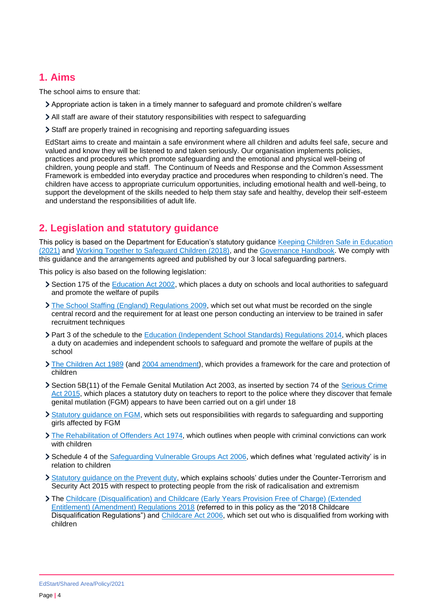# <span id="page-3-0"></span>**1. Aims**

The school aims to ensure that:

- Appropriate action is taken in a timely manner to safeguard and promote children's welfare
- All staff are aware of their statutory responsibilities with respect to safeguarding
- Staff are properly trained in recognising and reporting safeguarding issues

EdStart aims to create and maintain a safe environment where all children and adults feel safe, secure and valued and know they will be listened to and taken seriously. Our organisation implements policies, practices and procedures which promote safeguarding and the emotional and physical well-being of children, young people and staff. The Continuum of Needs and Response and the Common Assessment Framework is embedded into everyday practice and procedures when responding to children's need. The children have access to appropriate curriculum opportunities, including emotional health and well-being, to support the development of the skills needed to help them stay safe and healthy, develop their self-esteem and understand the responsibilities of adult life.

# <span id="page-3-1"></span>**2. Legislation and statutory guidance**

This policy is based on the Department for Education's statutory guidance [Keeping Children Safe in Education](https://www.gov.uk/government/publications/keeping-children-safe-in-education--2)  [\(2021\)](https://www.gov.uk/government/publications/keeping-children-safe-in-education--2) and [Working Together to Safeguard Children \(2018\),](https://www.gov.uk/government/publications/working-together-to-safeguard-children--2) and the [Governance Handbook.](https://www.gov.uk/government/publications/governance-handbook) We comply with this guidance and the arrangements agreed and published by our 3 local safeguarding partners.

This policy is also based on the following legislation:

- Section 175 of the [Education Act 2002,](http://www.legislation.gov.uk/ukpga/2002/32/section/175) which places a duty on schools and local authorities to safeguard and promote the welfare of pupils
- [The School Staffing \(England\) Regulations 2009,](http://www.legislation.gov.uk/uksi/2009/2680/contents/made) which set out what must be recorded on the single central record and the requirement for at least one person conducting an interview to be trained in safer recruitment techniques
- Part 3 of the schedule to the [Education \(Independent School Standards\) Regulations 2014,](http://www.legislation.gov.uk/uksi/2014/3283/schedule/part/3/made) which places a duty on academies and independent schools to safeguard and promote the welfare of pupils at the school
- [The Children Act 1989](http://www.legislation.gov.uk/ukpga/1989/41) (and [2004 amendment\)](http://www.legislation.gov.uk/ukpga/2004/31/contents), which provides a framework for the care and protection of children
- Section 5B(11) of the Female Genital Mutilation Act 2003, as inserted by section 74 of the Serious Crime [Act 2015,](http://www.legislation.gov.uk/ukpga/2015/9/part/5/crossheading/female-genital-mutilation) which places a statutory duty on teachers to report to the police where they discover that female genital mutilation (FGM) appears to have been carried out on a girl under 18
- > [Statutory guidance on FGM,](https://www.gov.uk/government/publications/multi-agency-statutory-guidance-on-female-genital-mutilation) which sets out responsibilities with regards to safeguarding and supporting girls affected by FGM
- [The Rehabilitation of Offenders Act 1974,](http://www.legislation.gov.uk/ukpga/1974/53) which outlines when people with criminal convictions can work with children
- Schedule 4 of the [Safeguarding Vulnerable Groups Act 2006,](http://www.legislation.gov.uk/ukpga/2006/47/schedule/4) which defines what 'regulated activity' is in relation to children
- [Statutory guidance on the Prevent duty,](https://www.gov.uk/government/publications/prevent-duty-guidance) which explains schools' duties under the Counter-Terrorism and Security Act 2015 with respect to protecting people from the risk of radicalisation and extremism
- The [Childcare \(Disqualification\) and Childcare \(Early Years Provision Free of Charge\) \(Extended](http://www.legislation.gov.uk/uksi/2018/794/contents/made)  [Entitlement\) \(Amendment\) Regulations 2018](http://www.legislation.gov.uk/uksi/2018/794/contents/made) (referred to in this policy as the "2018 Childcare Disqualification Regulations") and [Childcare Act 2006,](http://www.legislation.gov.uk/ukpga/2006/21/contents) which set out who is disqualified from working with children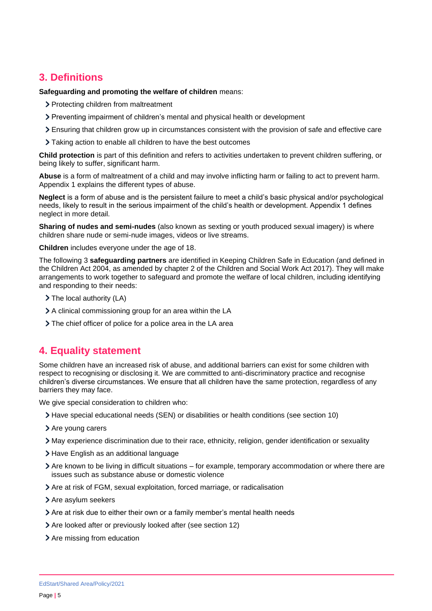# <span id="page-4-0"></span>**3. Definitions**

**Safeguarding and promoting the welfare of children** means:

- > Protecting children from maltreatment
- Preventing impairment of children's mental and physical health or development
- Ensuring that children grow up in circumstances consistent with the provision of safe and effective care
- Taking action to enable all children to have the best outcomes

**Child protection** is part of this definition and refers to activities undertaken to prevent children suffering, or being likely to suffer, significant harm.

**Abuse** is a form of maltreatment of a child and may involve inflicting harm or failing to act to prevent harm. Appendix 1 explains the different types of abuse.

**Neglect** is a form of abuse and is the persistent failure to meet a child's basic physical and/or psychological needs, likely to result in the serious impairment of the child's health or development. Appendix 1 defines neglect in more detail.

**Sharing of nudes and semi-nudes** (also known as sexting or youth produced sexual imagery) is where children share nude or semi-nude images, videos or live streams.

**Children** includes everyone under the age of 18.

The following 3 **safeguarding partners** are identified in Keeping Children Safe in Education (and defined in the Children Act 2004, as amended by chapter 2 of the Children and Social Work Act 2017). They will make arrangements to work together to safeguard and promote the welfare of local children, including identifying and responding to their needs:

- > The local authority (LA)
- A clinical commissioning group for an area within the LA
- The chief officer of police for a police area in the LA area

# <span id="page-4-1"></span>**4. Equality statement**

Some children have an increased risk of abuse, and additional barriers can exist for some children with respect to recognising or disclosing it. We are committed to anti-discriminatory practice and recognise children's diverse circumstances. We ensure that all children have the same protection, regardless of any barriers they may face.

We give special consideration to children who:

- Have special educational needs (SEN) or disabilities or health conditions (see section 10)
- > Are young carers
- May experience discrimination due to their race, ethnicity, religion, gender identification or sexuality
- > Have English as an additional language
- $\geq$  Are known to be living in difficult situations for example, temporary accommodation or where there are issues such as substance abuse or domestic violence
- Are at risk of FGM, sexual exploitation, forced marriage, or radicalisation
- > Are asylum seekers
- Are at risk due to either their own or a family member's mental health needs
- Are looked after or previously looked after (see section 12)
- > Are missing from education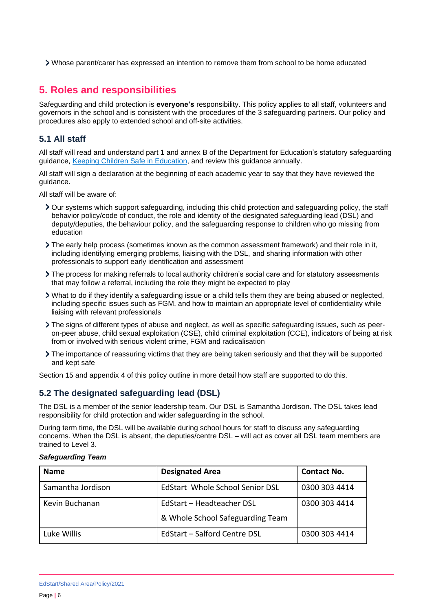Whose parent/carer has expressed an intention to remove them from school to be home educated

# <span id="page-5-0"></span>**5. Roles and responsibilities**

Safeguarding and child protection is **everyone's** responsibility. This policy applies to all staff, volunteers and governors in the school and is consistent with the procedures of the 3 safeguarding partners. Our policy and procedures also apply to extended school and off-site activities.

## **5.1 All staff**

All staff will read and understand part 1 and annex B of the Department for Education's statutory safeguarding guidance, [Keeping Children Safe in Education,](https://www.gov.uk/government/publications/keeping-children-safe-in-education--2) and review this guidance annually.

All staff will sign a declaration at the beginning of each academic year to say that they have reviewed the guidance.

All staff will be aware of:

- Our systems which support safeguarding, including this child protection and safeguarding policy, the staff behavior policy/code of conduct, the role and identity of the designated safeguarding lead (DSL) and deputy/deputies, the behaviour policy, and the safeguarding response to children who go missing from education
- The early help process (sometimes known as the common assessment framework) and their role in it, including identifying emerging problems, liaising with the DSL, and sharing information with other professionals to support early identification and assessment
- The process for making referrals to local authority children's social care and for statutory assessments that may follow a referral, including the role they might be expected to play
- What to do if they identify a safeguarding issue or a child tells them they are being abused or neglected, including specific issues such as FGM, and how to maintain an appropriate level of confidentiality while liaising with relevant professionals
- The signs of different types of abuse and neglect, as well as specific safeguarding issues, such as peeron-peer abuse, child sexual exploitation (CSE), child criminal exploitation (CCE), indicators of being at risk from or involved with serious violent crime, FGM and radicalisation
- The importance of reassuring victims that they are being taken seriously and that they will be supported and kept safe

Section 15 and appendix 4 of this policy outline in more detail how staff are supported to do this.

## **5.2 The designated safeguarding lead (DSL)**

The DSL is a member of the senior leadership team. Our DSL is Samantha Jordison. The DSL takes lead responsibility for child protection and wider safeguarding in the school.

During term time, the DSL will be available during school hours for staff to discuss any safeguarding concerns. When the DSL is absent, the deputies/centre DSL – will act as cover all DSL team members are trained to Level 3.

#### *Safeguarding Team*

| <b>Name</b>       | <b>Designated Area</b>           | <b>Contact No.</b> |
|-------------------|----------------------------------|--------------------|
| Samantha Jordison | EdStart Whole School Senior DSL  | 0300 303 4414      |
| Kevin Buchanan    | EdStart - Headteacher DSL        | 0300 303 4414      |
|                   | & Whole School Safeguarding Team |                    |
| Luke Willis       | EdStart - Salford Centre DSL     | 0300 303 4414      |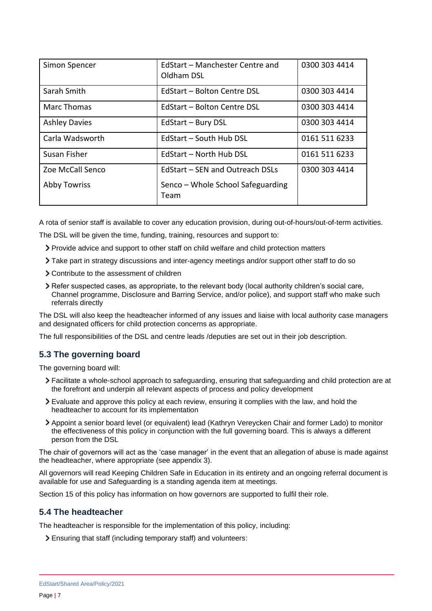| Simon Spencer        | EdStart - Manchester Centre and<br>Oldham DSL | 0300 303 4414 |
|----------------------|-----------------------------------------------|---------------|
| Sarah Smith          | EdStart - Bolton Centre DSL                   | 0300 303 4414 |
| <b>Marc Thomas</b>   | EdStart - Bolton Centre DSL                   | 0300 303 4414 |
| <b>Ashley Davies</b> | EdStart - Bury DSL                            | 0300 303 4414 |
| Carla Wadsworth      | EdStart - South Hub DSL                       | 0161 511 6233 |
| Susan Fisher         | EdStart - North Hub DSL                       | 0161 511 6233 |
| Zoe McCall Senco     | EdStart - SEN and Outreach DSLs               | 0300 303 4414 |
| <b>Abby Towriss</b>  | Senco – Whole School Safeguarding<br>Team     |               |

A rota of senior staff is available to cover any education provision, during out-of-hours/out-of-term activities.

The DSL will be given the time, funding, training, resources and support to:

- Provide advice and support to other staff on child welfare and child protection matters
- Take part in strategy discussions and inter-agency meetings and/or support other staff to do so
- Contribute to the assessment of children
- Refer suspected cases, as appropriate, to the relevant body (local authority children's social care, Channel programme, Disclosure and Barring Service, and/or police), and support staff who make such referrals directly

The DSL will also keep the headteacher informed of any issues and liaise with local authority case managers and designated officers for child protection concerns as appropriate.

The full responsibilities of the DSL and centre leads /deputies are set out in their job description.

## **5.3 The governing board**

The governing board will:

- Facilitate a whole-school approach to safeguarding, ensuring that safeguarding and child protection are at the forefront and underpin all relevant aspects of process and policy development
- Evaluate and approve this policy at each review, ensuring it complies with the law, and hold the headteacher to account for its implementation
- Appoint a senior board level (or equivalent) lead (Kathryn Vereycken Chair and former Lado) to monitor the effectiveness of this policy in conjunction with the full governing board. This is always a different person from the DSL

The chair of governors will act as the 'case manager' in the event that an allegation of abuse is made against the headteacher, where appropriate (see appendix 3).

All governors will read Keeping Children Safe in Education in its entirety and an ongoing referral document is available for use and Safeguarding is a standing agenda item at meetings.

Section 15 of this policy has information on how governors are supported to fulfil their role.

## **5.4 The headteacher**

The headteacher is responsible for the implementation of this policy, including:

Ensuring that staff (including temporary staff) and volunteers: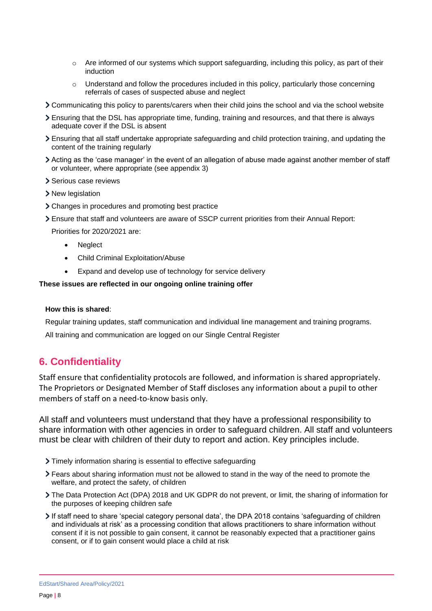- $\circ$  Are informed of our systems which support safeguarding, including this policy, as part of their induction
- $\circ$  Understand and follow the procedures included in this policy, particularly those concerning referrals of cases of suspected abuse and neglect
- Communicating this policy to parents/carers when their child joins the school and via the school website
- Ensuring that the DSL has appropriate time, funding, training and resources, and that there is always adequate cover if the DSL is absent
- Ensuring that all staff undertake appropriate safeguarding and child protection training, and updating the content of the training regularly
- Acting as the 'case manager' in the event of an allegation of abuse made against another member of staff or volunteer, where appropriate (see appendix 3)
- > Serious case reviews
- > New legislation
- Changes in procedures and promoting best practice
- Ensure that staff and volunteers are aware of SSCP current priorities from their Annual Report: Priorities for 2020/2021 are:
	- Neglect
	- Child Criminal Exploitation/Abuse
	- Expand and develop use of technology for service delivery

#### **These issues are reflected in our ongoing online training offer**

#### **How this is shared**:

Regular training updates, staff communication and individual line management and training programs. All training and communication are logged on our Single Central Register

## <span id="page-7-0"></span>**6. Confidentiality**

Staff ensure that confidentiality protocols are followed, and information is shared appropriately. The Proprietors or Designated Member of Staff discloses any information about a pupil to other members of staff on a need-to-know basis only.

All staff and volunteers must understand that they have a professional responsibility to share information with other agencies in order to safeguard children. All staff and volunteers must be clear with children of their duty to report and action. Key principles include.

- Timely information sharing is essential to effective safeguarding
- Fears about sharing information must not be allowed to stand in the way of the need to promote the welfare, and protect the safety, of children
- The Data Protection Act (DPA) 2018 and UK GDPR do not prevent, or limit, the sharing of information for the purposes of keeping children safe
- If staff need to share 'special category personal data', the DPA 2018 contains 'safeguarding of children and individuals at risk' as a processing condition that allows practitioners to share information without consent if it is not possible to gain consent, it cannot be reasonably expected that a practitioner gains consent, or if to gain consent would place a child at risk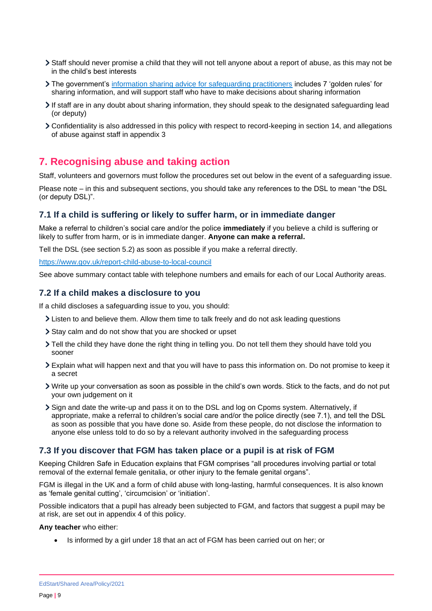- Staff should never promise a child that they will not tell anyone about a report of abuse, as this may not be in the child's best interests
- The government's [information sharing advice for safeguarding practitioners](https://www.gov.uk/government/publications/safeguarding-practitioners-information-sharing-advice) includes 7 'golden rules' for sharing information, and will support staff who have to make decisions about sharing information
- If staff are in any doubt about sharing information, they should speak to the designated safeguarding lead (or deputy)
- Confidentiality is also addressed in this policy with respect to record-keeping in section 14, and allegations of abuse against staff in appendix 3

# <span id="page-8-0"></span>**7. Recognising abuse and taking action**

Staff, volunteers and governors must follow the procedures set out below in the event of a safeguarding issue.

Please note – in this and subsequent sections, you should take any references to the DSL to mean "the DSL (or deputy DSL)".

## **7.1 If a child is suffering or likely to suffer harm, or in immediate danger**

Make a referral to children's social care and/or the police **immediately** if you believe a child is suffering or likely to suffer from harm, or is in immediate danger. **Anyone can make a referral.**

Tell the DSL (see section 5.2) as soon as possible if you make a referral directly.

<https://www.gov.uk/report-child-abuse-to-local-council>

See above summary contact table with telephone numbers and emails for each of our Local Authority areas.

## **7.2 If a child makes a disclosure to you**

If a child discloses a safeguarding issue to you, you should:

- Listen to and believe them. Allow them time to talk freely and do not ask leading questions
- Stay calm and do not show that you are shocked or upset
- Tell the child they have done the right thing in telling you. Do not tell them they should have told you sooner
- Explain what will happen next and that you will have to pass this information on. Do not promise to keep it a secret
- Write up your conversation as soon as possible in the child's own words. Stick to the facts, and do not put your own judgement on it
- Sign and date the write-up and pass it on to the DSL and log on Cpoms system. Alternatively, if appropriate, make a referral to children's social care and/or the police directly (see 7.1), and tell the DSL as soon as possible that you have done so. Aside from these people, do not disclose the information to anyone else unless told to do so by a relevant authority involved in the safeguarding process

## **7.3 If you discover that FGM has taken place or a pupil is at risk of FGM**

Keeping Children Safe in Education explains that FGM comprises "all procedures involving partial or total removal of the external female genitalia, or other injury to the female genital organs".

FGM is illegal in the UK and a form of child abuse with long-lasting, harmful consequences. It is also known as 'female genital cutting', 'circumcision' or 'initiation'.

Possible indicators that a pupil has already been subjected to FGM, and factors that suggest a pupil may be at risk, are set out in appendix 4 of this policy.

**Any teacher** who either:

• Is informed by a girl under 18 that an act of FGM has been carried out on her; or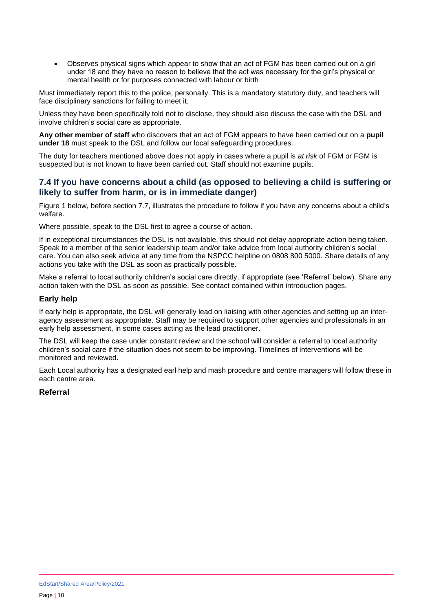• Observes physical signs which appear to show that an act of FGM has been carried out on a girl under 18 and they have no reason to believe that the act was necessary for the girl's physical or mental health or for purposes connected with labour or birth

Must immediately report this to the police, personally. This is a mandatory statutory duty, and teachers will face disciplinary sanctions for failing to meet it.

Unless they have been specifically told not to disclose, they should also discuss the case with the DSL and involve children's social care as appropriate.

**Any other member of staff** who discovers that an act of FGM appears to have been carried out on a **pupil under 18** must speak to the DSL and follow our local safeguarding procedures.

The duty for teachers mentioned above does not apply in cases where a pupil is *at risk* of FGM or FGM is suspected but is not known to have been carried out. Staff should not examine pupils.

## **7.4 If you have concerns about a child (as opposed to believing a child is suffering or likely to suffer from harm, or is in immediate danger)**

Figure 1 below, before section 7.7, illustrates the procedure to follow if you have any concerns about a child's welfare.

Where possible, speak to the DSL first to agree a course of action.

If in exceptional circumstances the DSL is not available, this should not delay appropriate action being taken. Speak to a member of the senior leadership team and/or take advice from local authority children's social care. You can also seek advice at any time from the NSPCC helpline on 0808 800 5000. Share details of any actions you take with the DSL as soon as practically possible.

Make a referral to local authority children's social care directly, if appropriate (see 'Referral' below). Share any action taken with the DSL as soon as possible. See contact contained within introduction pages.

## **Early help**

If early help is appropriate, the DSL will generally lead on liaising with other agencies and setting up an interagency assessment as appropriate. Staff may be required to support other agencies and professionals in an early help assessment, in some cases acting as the lead practitioner.

The DSL will keep the case under constant review and the school will consider a referral to local authority children's social care if the situation does not seem to be improving. Timelines of interventions will be monitored and reviewed.

Each Local authority has a designated earl help and mash procedure and centre managers will follow these in each centre area.

#### **Referral**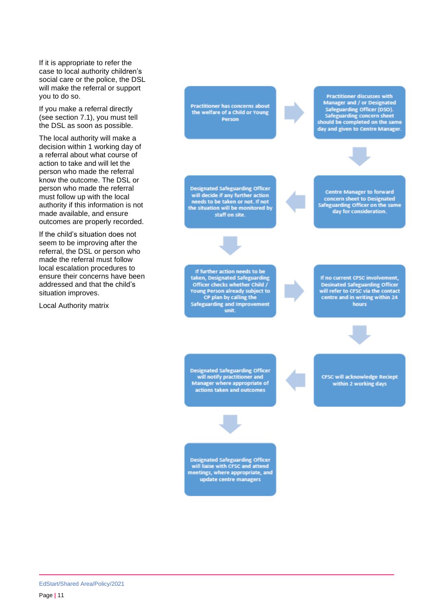If it is appropriate to refer the case to local authority children's social care or the police, the DSL will make the referral or support you to do so.

If you make a referral directly (see section 7.1), you must tell the DSL as soon as possible.

The local authority will make a decision within 1 working day of a referral about what course of action to take and will let the person who made the referral know the outcome. The DSL or person who made the referral must follow up with the local authority if this information is not made available, and ensure outcomes are properly recorded.

If the child's situation does not seem to be improving after the referral, the DSL or person who made the referral must follow local escalation procedures to ensure their concerns have been addressed and that the child's situation improves.

Local Authority matrix

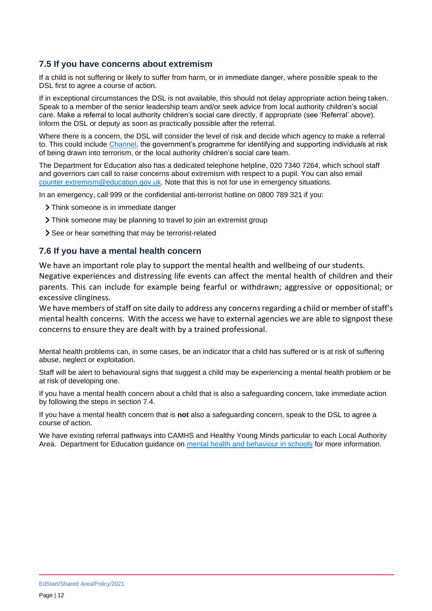## **7.5 If you have concerns about extremism**

If a child is not suffering or likely to suffer from harm, or in immediate danger, where possible speak to the DSL first to agree a course of action.

If in exceptional circumstances the DSL is not available, this should not delay appropriate action being taken. Speak to a member of the senior leadership team and/or seek advice from local authority children's social care. Make a referral to local authority children's social care directly, if appropriate (see 'Referral' above). Inform the DSL or deputy as soon as practically possible after the referral.

Where there is a concern, the DSL will consider the level of risk and decide which agency to make a referral to. This could include [Channel,](https://www.gov.uk/government/publications/channel-guidance) the government's programme for identifying and supporting individuals at risk of being drawn into terrorism, or the local authority children's social care team.

The Department for Education also has a dedicated telephone helpline, 020 7340 7264, which school staff and governors can call to raise concerns about extremism with respect to a pupil. You can also email [counter.extremism@education.gov.uk.](mailto:counter.extremism@education.gov.uk) Note that this is not for use in emergency situations.

In an emergency, call 999 or the confidential anti-terrorist hotline on 0800 789 321 if you:

- > Think someone is in immediate danger
- Think someone may be planning to travel to join an extremist group
- > See or hear something that may be terrorist-related

## **7.6 If you have a mental health concern**

We have an important role play to support the mental health and wellbeing of our students. Negative experiences and distressing life events can affect the mental health of children and their parents. This can include for example being fearful or withdrawn; aggressive or oppositional; or excessive clinginess.

We have members of staff on site daily to address any concerns regarding a child or member of staff's mental health concerns. With the access we have to external agencies we are able to signpost these concerns to ensure they are dealt with by a trained professional.

Mental health problems can, in some cases, be an indicator that a child has suffered or is at risk of suffering abuse, neglect or exploitation.

Staff will be alert to behavioural signs that suggest a child may be experiencing a mental health problem or be at risk of developing one.

If you have a mental health concern about a child that is also a safeguarding concern, take immediate action by following the steps in section 7.4.

If you have a mental health concern that is **not** also a safeguarding concern, speak to the DSL to agree a course of action.

We have existing referral pathways into CAMHS and Healthy Young Minds particular to each Local Authority Area. Department for Education guidance on [mental health and behaviour in schools](https://www.gov.uk/government/publications/mental-health-and-behaviour-in-schools--2) for more information.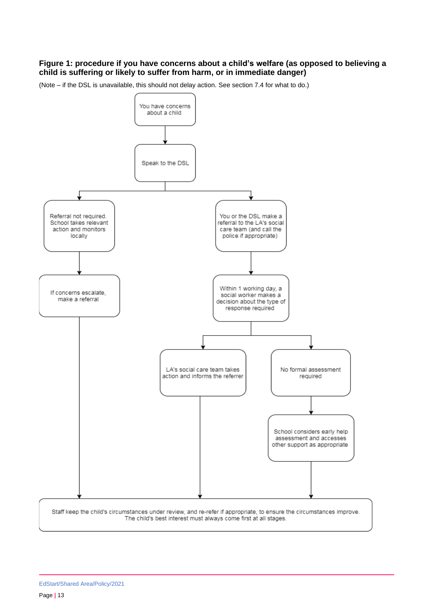#### **Figure 1: procedure if you have concerns about a child's welfare (as opposed to believing a child is suffering or likely to suffer from harm, or in immediate danger)**

(Note – if the DSL is unavailable, this should not delay action. See section 7.4 for what to do.)

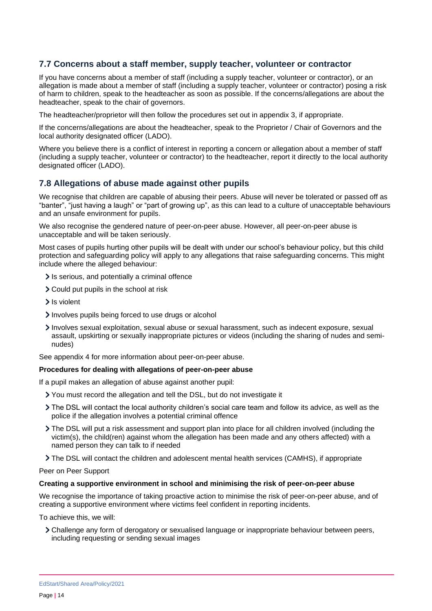## **7.7 Concerns about a staff member, supply teacher, volunteer or contractor**

If you have concerns about a member of staff (including a supply teacher, volunteer or contractor), or an allegation is made about a member of staff (including a supply teacher, volunteer or contractor) posing a risk of harm to children, speak to the headteacher as soon as possible. If the concerns/allegations are about the headteacher, speak to the chair of governors.

The headteacher/proprietor will then follow the procedures set out in appendix 3, if appropriate.

If the concerns/allegations are about the headteacher, speak to the Proprietor / Chair of Governors and the local authority designated officer (LADO).

Where you believe there is a conflict of interest in reporting a concern or allegation about a member of staff (including a supply teacher, volunteer or contractor) to the headteacher, report it directly to the local authority designated officer (LADO).

## **7.8 Allegations of abuse made against other pupils**

We recognise that children are capable of abusing their peers. Abuse will never be tolerated or passed off as "banter", "just having a laugh" or "part of growing up", as this can lead to a culture of unacceptable behaviours and an unsafe environment for pupils.

We also recognise the gendered nature of peer-on-peer abuse. However, all peer-on-peer abuse is unacceptable and will be taken seriously.

Most cases of pupils hurting other pupils will be dealt with under our school's behaviour policy, but this child protection and safeguarding policy will apply to any allegations that raise safeguarding concerns. This might include where the alleged behaviour:

- If is serious, and potentially a criminal offence
- Could put pupils in the school at risk
- > Is violent
- Involves pupils being forced to use drugs or alcohol
- Involves sexual exploitation, sexual abuse or sexual harassment, such as indecent exposure, sexual assault, upskirting or sexually inappropriate pictures or videos (including the sharing of nudes and seminudes)

See appendix 4 for more information about peer-on-peer abuse.

#### **Procedures for dealing with allegations of peer-on-peer abuse**

If a pupil makes an allegation of abuse against another pupil:

- You must record the allegation and tell the DSL, but do not investigate it
- The DSL will contact the local authority children's social care team and follow its advice, as well as the police if the allegation involves a potential criminal offence
- The DSL will put a risk assessment and support plan into place for all children involved (including the victim(s), the child(ren) against whom the allegation has been made and any others affected) with a named person they can talk to if needed
- The DSL will contact the children and adolescent mental health services (CAMHS), if appropriate

Peer on Peer Support

#### **Creating a supportive environment in school and minimising the risk of peer-on-peer abuse**

We recognise the importance of taking proactive action to minimise the risk of peer-on-peer abuse, and of creating a supportive environment where victims feel confident in reporting incidents.

To achieve this, we will:

Challenge any form of derogatory or sexualised language or inappropriate behaviour between peers, including requesting or sending sexual images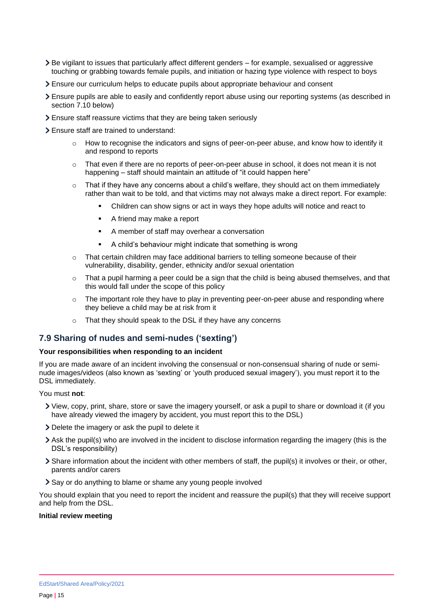- Be vigilant to issues that particularly affect different genders for example, sexualised or aggressive touching or grabbing towards female pupils, and initiation or hazing type violence with respect to boys
- Ensure our curriculum helps to educate pupils about appropriate behaviour and consent
- Ensure pupils are able to easily and confidently report abuse using our reporting systems (as described in section 7.10 below)
- Ensure staff reassure victims that they are being taken seriously
- Ensure staff are trained to understand:
	- o How to recognise the indicators and signs of peer-on-peer abuse, and know how to identify it and respond to reports
	- $\circ$  That even if there are no reports of peer-on-peer abuse in school, it does not mean it is not happening – staff should maintain an attitude of "it could happen here"
	- $\circ$  That if they have any concerns about a child's welfare, they should act on them immediately rather than wait to be told, and that victims may not always make a direct report. For example:
		- Children can show signs or act in ways they hope adults will notice and react to
		- A friend may make a report
		- A member of staff may overhear a conversation
		- A child's behaviour might indicate that something is wrong
	- o That certain children may face additional barriers to telling someone because of their vulnerability, disability, gender, ethnicity and/or sexual orientation
	- $\circ$  That a pupil harming a peer could be a sign that the child is being abused themselves, and that this would fall under the scope of this policy
	- $\circ$  The important role they have to play in preventing peer-on-peer abuse and responding where they believe a child may be at risk from it
	- o That they should speak to the DSL if they have any concerns

## **7.9 Sharing of nudes and semi-nudes ('sexting')**

#### **Your responsibilities when responding to an incident**

If you are made aware of an incident involving the consensual or non-consensual sharing of nude or seminude images/videos (also known as 'sexting' or 'youth produced sexual imagery'), you must report it to the DSL immediately.

#### You must **not**:

- View, copy, print, share, store or save the imagery yourself, or ask a pupil to share or download it (if you have already viewed the imagery by accident, you must report this to the DSL)
- Delete the imagery or ask the pupil to delete it
- Ask the pupil(s) who are involved in the incident to disclose information regarding the imagery (this is the DSL's responsibility)
- Share information about the incident with other members of staff, the pupil(s) it involves or their, or other, parents and/or carers
- Say or do anything to blame or shame any young people involved

You should explain that you need to report the incident and reassure the pupil(s) that they will receive support and help from the DSL.

#### **Initial review meeting**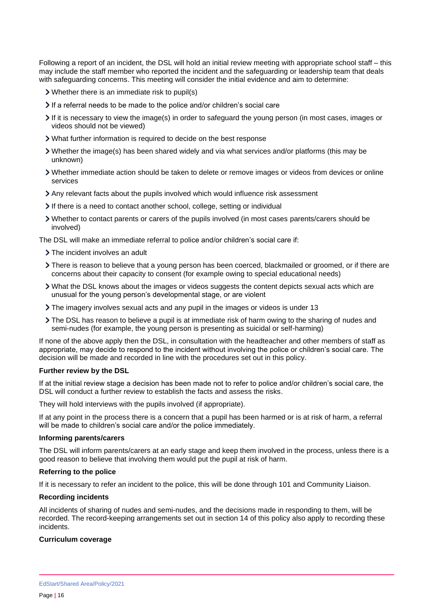Following a report of an incident, the DSL will hold an initial review meeting with appropriate school staff – this may include the staff member who reported the incident and the safeguarding or leadership team that deals with safeguarding concerns. This meeting will consider the initial evidence and aim to determine:

Whether there is an immediate risk to pupil(s)

- If a referral needs to be made to the police and/or children's social care
- $\triangleright$  If it is necessary to view the image(s) in order to safeguard the young person (in most cases, images or videos should not be viewed)
- What further information is required to decide on the best response
- Whether the image(s) has been shared widely and via what services and/or platforms (this may be unknown)
- Whether immediate action should be taken to delete or remove images or videos from devices or online services
- Any relevant facts about the pupils involved which would influence risk assessment
- If there is a need to contact another school, college, setting or individual
- Whether to contact parents or carers of the pupils involved (in most cases parents/carers should be involved)

The DSL will make an immediate referral to police and/or children's social care if:

- > The incident involves an adult
- There is reason to believe that a young person has been coerced, blackmailed or groomed, or if there are concerns about their capacity to consent (for example owing to special educational needs)
- What the DSL knows about the images or videos suggests the content depicts sexual acts which are unusual for the young person's developmental stage, or are violent
- The imagery involves sexual acts and any pupil in the images or videos is under 13
- The DSL has reason to believe a pupil is at immediate risk of harm owing to the sharing of nudes and semi-nudes (for example, the young person is presenting as suicidal or self-harming)

If none of the above apply then the DSL, in consultation with the headteacher and other members of staff as appropriate, may decide to respond to the incident without involving the police or children's social care. The decision will be made and recorded in line with the procedures set out in this policy.

#### **Further review by the DSL**

If at the initial review stage a decision has been made not to refer to police and/or children's social care, the DSL will conduct a further review to establish the facts and assess the risks.

They will hold interviews with the pupils involved (if appropriate).

If at any point in the process there is a concern that a pupil has been harmed or is at risk of harm, a referral will be made to children's social care and/or the police immediately.

#### **Informing parents/carers**

The DSL will inform parents/carers at an early stage and keep them involved in the process, unless there is a good reason to believe that involving them would put the pupil at risk of harm.

#### **Referring to the police**

If it is necessary to refer an incident to the police, this will be done through 101 and Community Liaison.

#### **Recording incidents**

All incidents of sharing of nudes and semi-nudes, and the decisions made in responding to them, will be recorded. The record-keeping arrangements set out in section 14 of this policy also apply to recording these incidents.

#### **Curriculum coverage**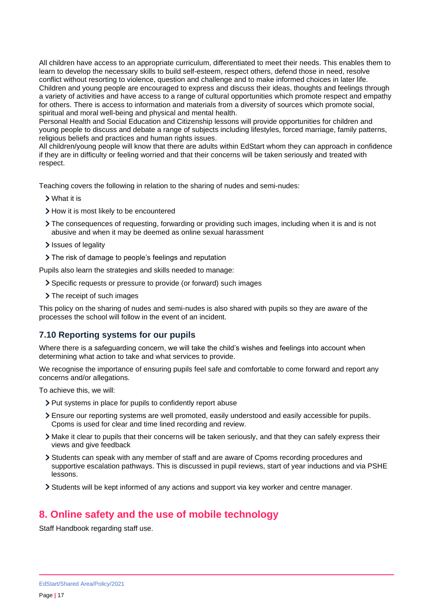All children have access to an appropriate curriculum, differentiated to meet their needs. This enables them to learn to develop the necessary skills to build self-esteem, respect others, defend those in need, resolve conflict without resorting to violence, question and challenge and to make informed choices in later life. Children and young people are encouraged to express and discuss their ideas, thoughts and feelings through a variety of activities and have access to a range of cultural opportunities which promote respect and empathy for others. There is access to information and materials from a diversity of sources which promote social, spiritual and moral well-being and physical and mental health.

Personal Health and Social Education and Citizenship lessons will provide opportunities for children and young people to discuss and debate a range of subjects including lifestyles, forced marriage, family patterns, religious beliefs and practices and human rights issues.

All children/young people will know that there are adults within EdStart whom they can approach in confidence if they are in difficulty or feeling worried and that their concerns will be taken seriously and treated with respect.

Teaching covers the following in relation to the sharing of nudes and semi-nudes:

- What it is
- > How it is most likely to be encountered
- The consequences of requesting, forwarding or providing such images, including when it is and is not abusive and when it may be deemed as online sexual harassment
- Issues of legality
- The risk of damage to people's feelings and reputation

Pupils also learn the strategies and skills needed to manage:

- Specific requests or pressure to provide (or forward) such images
- > The receipt of such images

This policy on the sharing of nudes and semi-nudes is also shared with pupils so they are aware of the processes the school will follow in the event of an incident.

## **7.10 Reporting systems for our pupils**

Where there is a safeguarding concern, we will take the child's wishes and feelings into account when determining what action to take and what services to provide.

We recognise the importance of ensuring pupils feel safe and comfortable to come forward and report any concerns and/or allegations.

To achieve this, we will:

- > Put systems in place for pupils to confidently report abuse
- Ensure our reporting systems are well promoted, easily understood and easily accessible for pupils. Cpoms is used for clear and time lined recording and review.
- Make it clear to pupils that their concerns will be taken seriously, and that they can safely express their views and give feedback
- Students can speak with any member of staff and are aware of Cpoms recording procedures and supportive escalation pathways. This is discussed in pupil reviews, start of year inductions and via PSHE lessons.
- Students will be kept informed of any actions and support via key worker and centre manager.

# <span id="page-16-0"></span>**8. Online safety and the use of mobile technology**

Staff Handbook regarding staff use.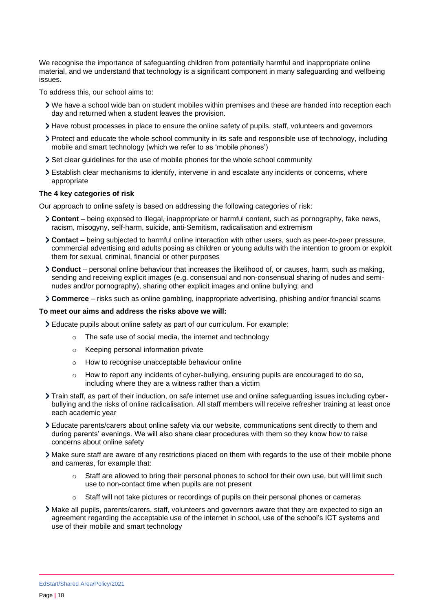We recognise the importance of safeguarding children from potentially harmful and inappropriate online material, and we understand that technology is a significant component in many safeguarding and wellbeing issues.

To address this, our school aims to:

- We have a school wide ban on student mobiles within premises and these are handed into reception each day and returned when a student leaves the provision.
- Have robust processes in place to ensure the online safety of pupils, staff, volunteers and governors
- Protect and educate the whole school community in its safe and responsible use of technology, including mobile and smart technology (which we refer to as 'mobile phones')
- Set clear guidelines for the use of mobile phones for the whole school community
- Establish clear mechanisms to identify, intervene in and escalate any incidents or concerns, where appropriate

#### **The 4 key categories of risk**

Our approach to online safety is based on addressing the following categories of risk:

- **Content** being exposed to illegal, inappropriate or harmful content, such as pornography, fake news, racism, misogyny, self-harm, suicide, anti-Semitism, radicalisation and extremism
- **Contact** being subjected to harmful online interaction with other users, such as peer-to-peer pressure, commercial advertising and adults posing as children or young adults with the intention to groom or exploit them for sexual, criminal, financial or other purposes
- **Conduct** personal online behaviour that increases the likelihood of, or causes, harm, such as making, sending and receiving explicit images (e.g. consensual and non-consensual sharing of nudes and seminudes and/or pornography), sharing other explicit images and online bullying; and
- **Commerce** risks such as online gambling, inappropriate advertising, phishing and/or financial scams

#### **To meet our aims and address the risks above we will:**

- Educate pupils about online safety as part of our curriculum. For example:
	- o The safe use of social media, the internet and technology
	- o Keeping personal information private
	- o How to recognise unacceptable behaviour online
	- $\circ$  How to report any incidents of cyber-bullying, ensuring pupils are encouraged to do so, including where they are a witness rather than a victim
- Train staff, as part of their induction, on safe internet use and online safeguarding issues including cyberbullying and the risks of online radicalisation. All staff members will receive refresher training at least once each academic year
- Educate parents/carers about online safety via our website, communications sent directly to them and during parents' evenings. We will also share clear procedures with them so they know how to raise concerns about online safety
- Make sure staff are aware of any restrictions placed on them with regards to the use of their mobile phone and cameras, for example that:
	- o Staff are allowed to bring their personal phones to school for their own use, but will limit such use to non-contact time when pupils are not present
	- $\circ$  Staff will not take pictures or recordings of pupils on their personal phones or cameras
- Make all pupils, parents/carers, staff, volunteers and governors aware that they are expected to sign an agreement regarding the acceptable use of the internet in school, use of the school's ICT systems and use of their mobile and smart technology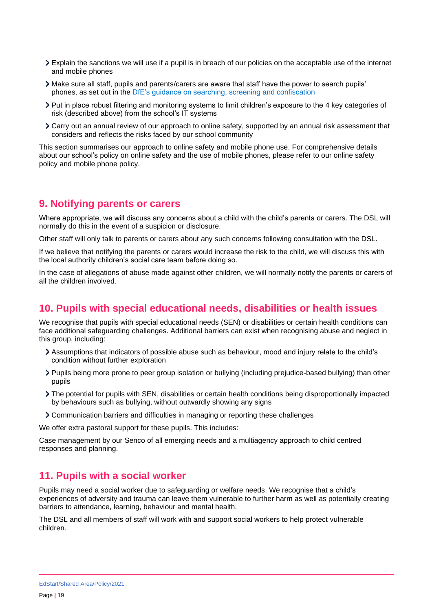- Explain the sanctions we will use if a pupil is in breach of our policies on the acceptable use of the internet and mobile phones
- Make sure all staff, pupils and parents/carers are aware that staff have the power to search pupils' phones, as set out in the [DfE's guidance on searching, screening and confiscation](https://www.gov.uk/government/publications/searching-screening-and-confiscation)
- Put in place robust filtering and monitoring systems to limit children's exposure to the 4 key categories of risk (described above) from the school's IT systems
- Carry out an annual review of our approach to online safety, supported by an annual risk assessment that considers and reflects the risks faced by our school community

This section summarises our approach to online safety and mobile phone use. For comprehensive details about our school's policy on online safety and the use of mobile phones, please refer to our online safety policy and mobile phone policy.

## <span id="page-18-0"></span>**9. Notifying parents or carers**

Where appropriate, we will discuss any concerns about a child with the child's parents or carers. The DSL will normally do this in the event of a suspicion or disclosure.

Other staff will only talk to parents or carers about any such concerns following consultation with the DSL.

If we believe that notifying the parents or carers would increase the risk to the child, we will discuss this with the local authority children's social care team before doing so.

In the case of allegations of abuse made against other children, we will normally notify the parents or carers of all the children involved.

# <span id="page-18-1"></span>**10. Pupils with special educational needs, disabilities or health issues**

We recognise that pupils with special educational needs (SEN) or disabilities or certain health conditions can face additional safeguarding challenges. Additional barriers can exist when recognising abuse and neglect in this group, including:

- Assumptions that indicators of possible abuse such as behaviour, mood and injury relate to the child's condition without further exploration
- Pupils being more prone to peer group isolation or bullying (including prejudice-based bullying) than other pupils
- The potential for pupils with SEN, disabilities or certain health conditions being disproportionally impacted by behaviours such as bullying, without outwardly showing any signs
- Communication barriers and difficulties in managing or reporting these challenges

We offer extra pastoral support for these pupils. This includes:

Case management by our Senco of all emerging needs and a multiagency approach to child centred responses and planning.

# <span id="page-18-2"></span>**11. Pupils with a social worker**

Pupils may need a social worker due to safeguarding or welfare needs. We recognise that a child's experiences of adversity and trauma can leave them vulnerable to further harm as well as potentially creating barriers to attendance, learning, behaviour and mental health.

The DSL and all members of staff will work with and support social workers to help protect vulnerable children.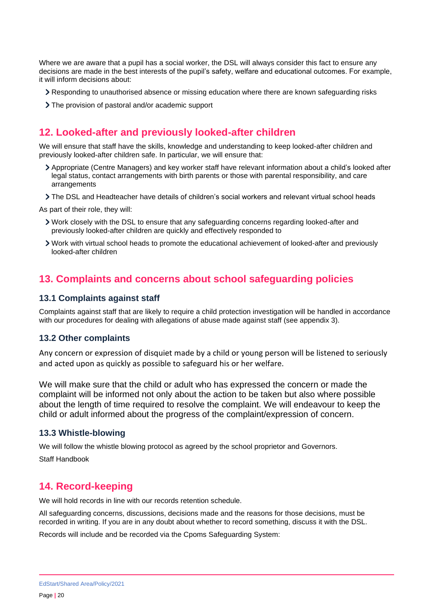Where we are aware that a pupil has a social worker, the DSL will always consider this fact to ensure any decisions are made in the best interests of the pupil's safety, welfare and educational outcomes. For example, it will inform decisions about:

Responding to unauthorised absence or missing education where there are known safeguarding risks

The provision of pastoral and/or academic support

# <span id="page-19-0"></span>**12. Looked-after and previously looked-after children**

We will ensure that staff have the skills, knowledge and understanding to keep looked-after children and previously looked-after children safe. In particular, we will ensure that:

- Appropriate (Centre Managers) and key worker staff have relevant information about a child's looked after legal status, contact arrangements with birth parents or those with parental responsibility, and care arrangements
- The DSL and Headteacher have details of children's social workers and relevant virtual school heads

As part of their role, they will:

- Work closely with the DSL to ensure that any safeguarding concerns regarding looked-after and previously looked-after children are quickly and effectively responded to
- Work with virtual school heads to promote the educational achievement of looked-after and previously looked-after children

# <span id="page-19-1"></span>**13. Complaints and concerns about school safeguarding policies**

## **13.1 Complaints against staff**

Complaints against staff that are likely to require a child protection investigation will be handled in accordance with our procedures for dealing with allegations of abuse made against staff (see appendix 3).

## **13.2 Other complaints**

Any concern or expression of disquiet made by a child or young person will be listened to seriously and acted upon as quickly as possible to safeguard his or her welfare.

We will make sure that the child or adult who has expressed the concern or made the complaint will be informed not only about the action to be taken but also where possible about the length of time required to resolve the complaint. We will endeavour to keep the child or adult informed about the progress of the complaint/expression of concern.

## **13.3 Whistle-blowing**

We will follow the whistle blowing protocol as agreed by the school proprietor and Governors.

Staff Handbook

# <span id="page-19-2"></span>**14. Record-keeping**

We will hold records in line with our records retention schedule.

All safeguarding concerns, discussions, decisions made and the reasons for those decisions, must be recorded in writing. If you are in any doubt about whether to record something, discuss it with the DSL.

Records will include and be recorded via the Cpoms Safeguarding System: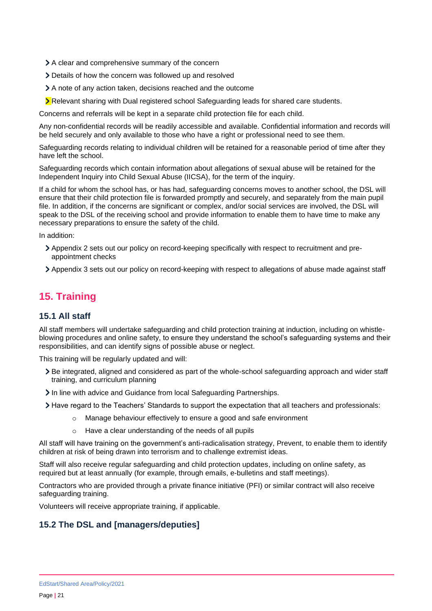A clear and comprehensive summary of the concern

- Details of how the concern was followed up and resolved
- A note of any action taken, decisions reached and the outcome
- **>** Relevant sharing with Dual registered school Safeguarding leads for shared care students.

Concerns and referrals will be kept in a separate child protection file for each child.

Any non-confidential records will be readily accessible and available. Confidential information and records will be held securely and only available to those who have a right or professional need to see them.

Safeguarding records relating to individual children will be retained for a reasonable period of time after they have left the school.

Safeguarding records which contain information about allegations of sexual abuse will be retained for the Independent Inquiry into Child Sexual Abuse (IICSA), for the term of the inquiry.

If a child for whom the school has, or has had, safeguarding concerns moves to another school, the DSL will ensure that their child protection file is forwarded promptly and securely, and separately from the main pupil file. In addition, if the concerns are significant or complex, and/or social services are involved, the DSL will speak to the DSL of the receiving school and provide information to enable them to have time to make any necessary preparations to ensure the safety of the child.

In addition:

- Appendix 2 sets out our policy on record-keeping specifically with respect to recruitment and preappointment checks
- Appendix 3 sets out our policy on record-keeping with respect to allegations of abuse made against staff

# <span id="page-20-0"></span>**15. Training**

## **15.1 All staff**

All staff members will undertake safeguarding and child protection training at induction, including on whistleblowing procedures and online safety, to ensure they understand the school's safeguarding systems and their responsibilities, and can identify signs of possible abuse or neglect.

This training will be regularly updated and will:

- Be integrated, aligned and considered as part of the whole-school safeguarding approach and wider staff training, and curriculum planning
- In line with advice and Guidance from local Safeguarding Partnerships.
- Have regard to the Teachers' Standards to support the expectation that all teachers and professionals:
	- o Manage behaviour effectively to ensure a good and safe environment
		- o Have a clear understanding of the needs of all pupils

All staff will have training on the government's anti-radicalisation strategy, Prevent, to enable them to identify children at risk of being drawn into terrorism and to challenge extremist ideas.

Staff will also receive regular safeguarding and child protection updates, including on online safety, as required but at least annually (for example, through emails, e-bulletins and staff meetings).

Contractors who are provided through a private finance initiative (PFI) or similar contract will also receive safeguarding training.

Volunteers will receive appropriate training, if applicable.

## **15.2 The DSL and [managers/deputies]**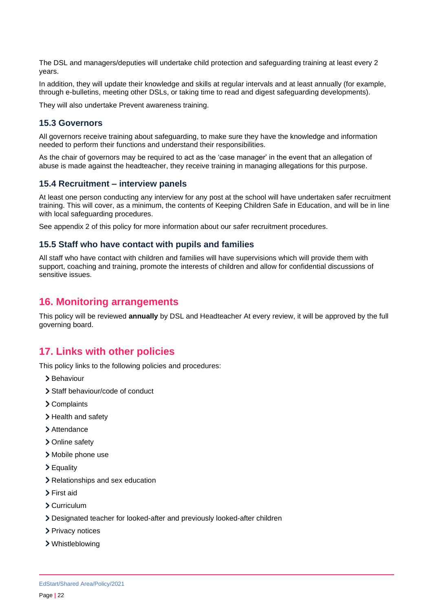The DSL and managers/deputies will undertake child protection and safeguarding training at least every 2 years.

In addition, they will update their knowledge and skills at regular intervals and at least annually (for example, through e-bulletins, meeting other DSLs, or taking time to read and digest safeguarding developments).

They will also undertake Prevent awareness training.

### **15.3 Governors**

All governors receive training about safeguarding, to make sure they have the knowledge and information needed to perform their functions and understand their responsibilities.

As the chair of governors may be required to act as the 'case manager' in the event that an allegation of abuse is made against the headteacher, they receive training in managing allegations for this purpose.

#### **15.4 Recruitment – interview panels**

At least one person conducting any interview for any post at the school will have undertaken safer recruitment training. This will cover, as a minimum, the contents of Keeping Children Safe in Education, and will be in line with local safeguarding procedures.

See appendix 2 of this policy for more information about our safer recruitment procedures.

#### **15.5 Staff who have contact with pupils and families**

All staff who have contact with children and families will have supervisions which will provide them with support, coaching and training, promote the interests of children and allow for confidential discussions of sensitive issues.

## <span id="page-21-0"></span>**16. Monitoring arrangements**

This policy will be reviewed **annually** by DSL and Headteacher At every review, it will be approved by the full governing board.

## <span id="page-21-1"></span>**17. Links with other policies**

This policy links to the following policies and procedures:

- > Behaviour
- > Staff behaviour/code of conduct
- Complaints
- > Health and safety
- > Attendance
- > Online safety
- Mobile phone use
- Equality
- > Relationships and sex education
- > First aid
- Curriculum
- Designated teacher for looked-after and previously looked-after children
- > Privacy notices
- Whistleblowing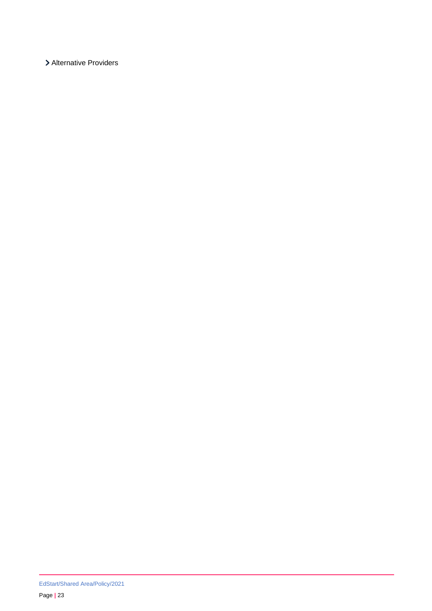Alternative Providers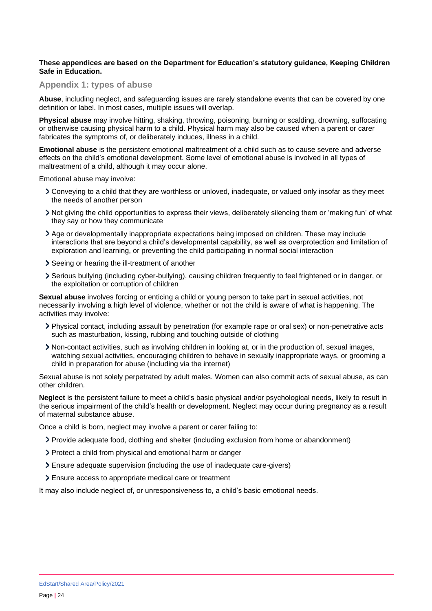#### **These appendices are based on the Department for Education's statutory guidance, Keeping Children Safe in Education.**

#### <span id="page-23-0"></span>**Appendix 1: types of abuse**

**Abuse**, including neglect, and safeguarding issues are rarely standalone events that can be covered by one definition or label. In most cases, multiple issues will overlap.

**Physical abuse** may involve hitting, shaking, throwing, poisoning, burning or scalding, drowning, suffocating or otherwise causing physical harm to a child. Physical harm may also be caused when a parent or carer fabricates the symptoms of, or deliberately induces, illness in a child.

**Emotional abuse** is the persistent emotional maltreatment of a child such as to cause severe and adverse effects on the child's emotional development. Some level of emotional abuse is involved in all types of maltreatment of a child, although it may occur alone.

Emotional abuse may involve:

- Conveying to a child that they are worthless or unloved, inadequate, or valued only insofar as they meet the needs of another person
- Not giving the child opportunities to express their views, deliberately silencing them or 'making fun' of what they say or how they communicate
- Age or developmentally inappropriate expectations being imposed on children. These may include interactions that are beyond a child's developmental capability, as well as overprotection and limitation of exploration and learning, or preventing the child participating in normal social interaction
- Seeing or hearing the ill-treatment of another
- Serious bullying (including cyber-bullying), causing children frequently to feel frightened or in danger, or the exploitation or corruption of children

**Sexual abuse** involves forcing or enticing a child or young person to take part in sexual activities, not necessarily involving a high level of violence, whether or not the child is aware of what is happening. The activities may involve:

- Physical contact, including assault by penetration (for example rape or oral sex) or non-penetrative acts such as masturbation, kissing, rubbing and touching outside of clothing
- Non-contact activities, such as involving children in looking at, or in the production of, sexual images, watching sexual activities, encouraging children to behave in sexually inappropriate ways, or grooming a child in preparation for abuse (including via the internet)

Sexual abuse is not solely perpetrated by adult males. Women can also commit acts of sexual abuse, as can other children.

**Neglect** is the persistent failure to meet a child's basic physical and/or psychological needs, likely to result in the serious impairment of the child's health or development. Neglect may occur during pregnancy as a result of maternal substance abuse.

Once a child is born, neglect may involve a parent or carer failing to:

- Provide adequate food, clothing and shelter (including exclusion from home or abandonment)
- Protect a child from physical and emotional harm or danger
- Ensure adequate supervision (including the use of inadequate care-givers)
- Ensure access to appropriate medical care or treatment

It may also include neglect of, or unresponsiveness to, a child's basic emotional needs.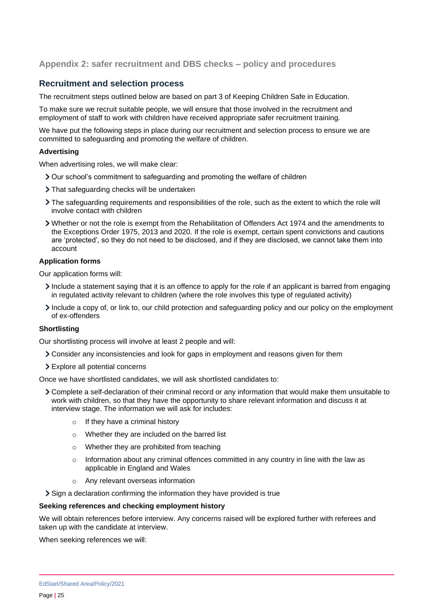## <span id="page-24-0"></span>**Appendix 2: safer recruitment and DBS checks – policy and procedures**

## **Recruitment and selection process**

The recruitment steps outlined below are based on part 3 of Keeping Children Safe in Education.

To make sure we recruit suitable people, we will ensure that those involved in the recruitment and employment of staff to work with children have received appropriate safer recruitment training.

We have put the following steps in place during our recruitment and selection process to ensure we are committed to safeguarding and promoting the welfare of children.

#### **Advertising**

When advertising roles, we will make clear:

- Our school's commitment to safeguarding and promoting the welfare of children
- > That safeguarding checks will be undertaken
- The safeguarding requirements and responsibilities of the role, such as the extent to which the role will involve contact with children
- Whether or not the role is exempt from the Rehabilitation of Offenders Act 1974 and the amendments to the Exceptions Order 1975, 2013 and 2020. If the role is exempt, certain spent convictions and cautions are 'protected', so they do not need to be disclosed, and if they are disclosed, we cannot take them into account

#### **Application forms**

Our application forms will:

- Include a statement saying that it is an offence to apply for the role if an applicant is barred from engaging in regulated activity relevant to children (where the role involves this type of regulated activity)
- Include a copy of, or link to, our child protection and safeguarding policy and our policy on the employment of ex-offenders

#### **Shortlisting**

Our shortlisting process will involve at least 2 people and will:

- Consider any inconsistencies and look for gaps in employment and reasons given for them
- Explore all potential concerns

Once we have shortlisted candidates, we will ask shortlisted candidates to:

- Complete a self-declaration of their criminal record or any information that would make them unsuitable to work with children, so that they have the opportunity to share relevant information and discuss it at interview stage. The information we will ask for includes:
	- $\circ$  If they have a criminal history
	- o Whether they are included on the barred list
	- o Whether they are prohibited from teaching
	- $\circ$  Information about any criminal offences committed in any country in line with the law as applicable in England and Wales
	- o Any relevant overseas information

Sign a declaration confirming the information they have provided is true

#### **Seeking references and checking employment history**

We will obtain references before interview. Any concerns raised will be explored further with referees and taken up with the candidate at interview.

When seeking references we will: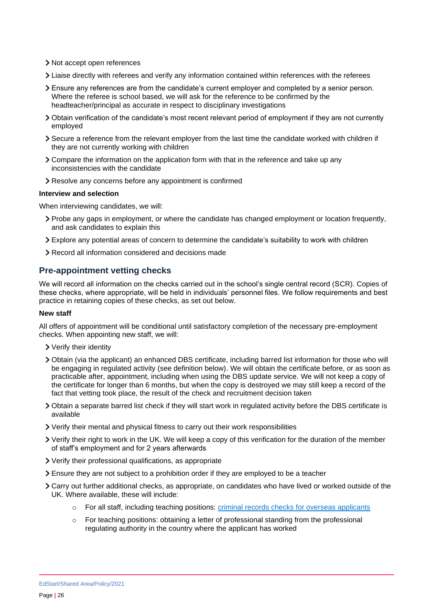- > Not accept open references
- Liaise directly with referees and verify any information contained within references with the referees
- Ensure any references are from the candidate's current employer and completed by a senior person. Where the referee is school based, we will ask for the reference to be confirmed by the headteacher/principal as accurate in respect to disciplinary investigations
- Obtain verification of the candidate's most recent relevant period of employment if they are not currently employed
- Secure a reference from the relevant employer from the last time the candidate worked with children if they are not currently working with children
- Compare the information on the application form with that in the reference and take up any inconsistencies with the candidate
- Resolve any concerns before any appointment is confirmed

#### **Interview and selection**

When interviewing candidates, we will:

- Probe any gaps in employment, or where the candidate has changed employment or location frequently, and ask candidates to explain this
- Explore any potential areas of concern to determine the candidate's suitability to work with children
- Record all information considered and decisions made

## **Pre-appointment vetting checks**

We will record all information on the checks carried out in the school's single central record (SCR). Copies of these checks, where appropriate, will be held in individuals' personnel files. We follow requirements and best practice in retaining copies of these checks, as set out below.

#### **New staff**

All offers of appointment will be conditional until satisfactory completion of the necessary pre-employment checks. When appointing new staff, we will:

- Verify their identity
- Obtain (via the applicant) an enhanced DBS certificate, including barred list information for those who will be engaging in regulated activity (see definition below). We will obtain the certificate before, or as soon as practicable after, appointment, including when using the DBS update service. We will not keep a copy of the certificate for longer than 6 months, but when the copy is destroyed we may still keep a record of the fact that vetting took place, the result of the check and recruitment decision taken
- Obtain a separate barred list check if they will start work in regulated activity before the DBS certificate is available
- Verify their mental and physical fitness to carry out their work responsibilities
- Verify their right to work in the UK. We will keep a copy of this verification for the duration of the member of staff's employment and for 2 years afterwards
- Verify their professional qualifications, as appropriate
- Ensure they are not subject to a prohibition order if they are employed to be a teacher
- Carry out further additional checks, as appropriate, on candidates who have lived or worked outside of the UK. Where available, these will include:
	- $\circ$  For all staff, including teaching positions: [criminal records checks for overseas applicants](https://www.gov.uk/government/publications/criminal-records-checks-for-overseas-applicants)
	- o For teaching positions: obtaining a letter of professional standing from the professional regulating authority in the country where the applicant has worked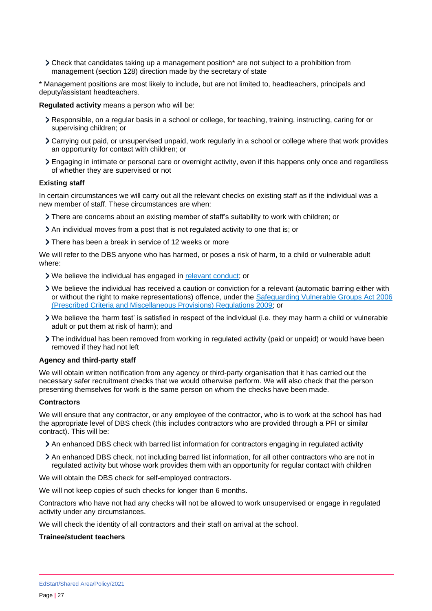Check that candidates taking up a management position\* are not subject to a prohibition from management (section 128) direction made by the secretary of state

\* Management positions are most likely to include, but are not limited to, headteachers, principals and deputy/assistant headteachers.

**Regulated activity** means a person who will be:

- Responsible, on a regular basis in a school or college, for teaching, training, instructing, caring for or supervising children; or
- Carrying out paid, or unsupervised unpaid, work regularly in a school or college where that work provides an opportunity for contact with children; or
- Engaging in intimate or personal care or overnight activity, even if this happens only once and regardless of whether they are supervised or not

#### **Existing staff**

In certain circumstances we will carry out all the relevant checks on existing staff as if the individual was a new member of staff. These circumstances are when:

- There are concerns about an existing member of staff's suitability to work with children; or
- An individual moves from a post that is not regulated activity to one that is; or
- There has been a break in service of 12 weeks or more

We will refer to the DBS anyone who has harmed, or poses a risk of harm, to a child or vulnerable adult where:

- We believe the individual has engaged in [relevant conduct;](https://www.gov.uk/guidance/making-barring-referrals-to-the-dbs#relevant-conduct-in-relation-to-children) or
- We believe the individual has received a caution or conviction for a relevant (automatic barring either with or without the right to make representations) offence, under the [Safeguarding Vulnerable Groups Act 2006](http://www.legislation.gov.uk/uksi/2009/37/contents/made)  [\(Prescribed Criteria and Miscellaneous Provisions\) Regulations 2009;](http://www.legislation.gov.uk/uksi/2009/37/contents/made) or
- We believe the 'harm test' is satisfied in respect of the individual (i.e. they may harm a child or vulnerable adult or put them at risk of harm); and
- The individual has been removed from working in regulated activity (paid or unpaid) or would have been removed if they had not left

#### **Agency and third-party staff**

We will obtain written notification from any agency or third-party organisation that it has carried out the necessary safer recruitment checks that we would otherwise perform. We will also check that the person presenting themselves for work is the same person on whom the checks have been made.

#### **Contractors**

We will ensure that any contractor, or any employee of the contractor, who is to work at the school has had the appropriate level of DBS check (this includes contractors who are provided through a PFI or similar contract). This will be:

- An enhanced DBS check with barred list information for contractors engaging in regulated activity
- An enhanced DBS check, not including barred list information, for all other contractors who are not in regulated activity but whose work provides them with an opportunity for regular contact with children

We will obtain the DBS check for self-employed contractors.

We will not keep copies of such checks for longer than 6 months.

Contractors who have not had any checks will not be allowed to work unsupervised or engage in regulated activity under any circumstances.

We will check the identity of all contractors and their staff on arrival at the school.

#### **Trainee/student teachers**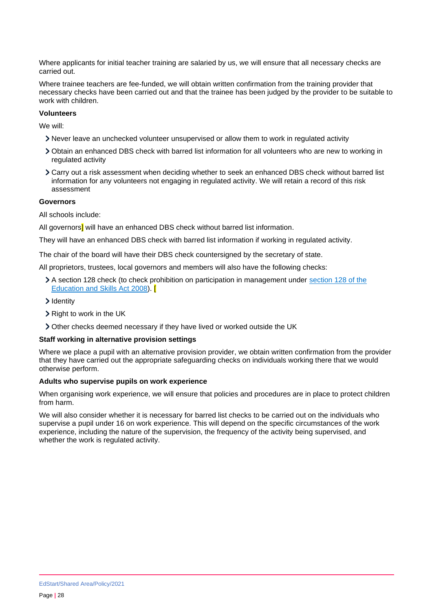Where applicants for initial teacher training are salaried by us, we will ensure that all necessary checks are carried out.

Where trainee teachers are fee-funded, we will obtain written confirmation from the training provider that necessary checks have been carried out and that the trainee has been judged by the provider to be suitable to work with children.

#### **Volunteers**

We will:

- Never leave an unchecked volunteer unsupervised or allow them to work in regulated activity
- Obtain an enhanced DBS check with barred list information for all volunteers who are new to working in regulated activity
- Carry out a risk assessment when deciding whether to seek an enhanced DBS check without barred list information for any volunteers not engaging in regulated activity. We will retain a record of this risk assessment

#### **Governors**

All schools include:

All governors] will have an enhanced DBS check without barred list information.

They will have an enhanced DBS check with barred list information if working in regulated activity.

The chair of the board will have their DBS check countersigned by the secretary of state.

All proprietors, trustees, local governors and members will also have the following checks:

- A section 128 check (to check prohibition on participation in management under section 128 of the [Education and Skills Act 2008\)](https://www.legislation.gov.uk/ukpga/2008/25/section/128). [
- > Identity
- > Right to work in the UK
- Other checks deemed necessary if they have lived or worked outside the UK

#### **Staff working in alternative provision settings**

Where we place a pupil with an alternative provision provider, we obtain written confirmation from the provider that they have carried out the appropriate safeguarding checks on individuals working there that we would otherwise perform.

#### **Adults who supervise pupils on work experience**

When organising work experience, we will ensure that policies and procedures are in place to protect children from harm.

We will also consider whether it is necessary for barred list checks to be carried out on the individuals who supervise a pupil under 16 on work experience. This will depend on the specific circumstances of the work experience, including the nature of the supervision, the frequency of the activity being supervised, and whether the work is regulated activity.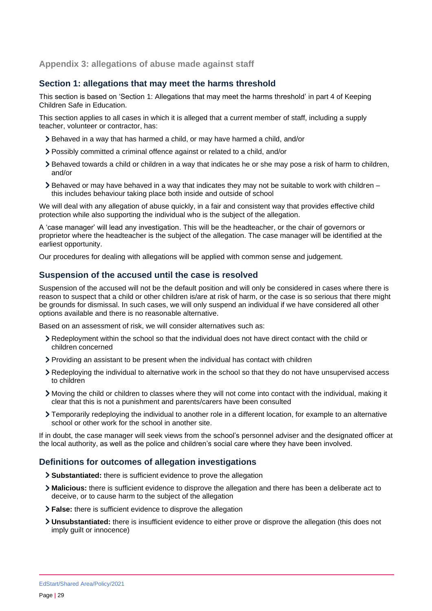## <span id="page-28-0"></span>**Appendix 3: allegations of abuse made against staff**

## **Section 1: allegations that may meet the harms threshold**

This section is based on 'Section 1: Allegations that may meet the harms threshold' in part 4 of Keeping Children Safe in Education.

This section applies to all cases in which it is alleged that a current member of staff, including a supply teacher, volunteer or contractor, has:

- Behaved in a way that has harmed a child, or may have harmed a child, and/or
- Possibly committed a criminal offence against or related to a child, and/or
- Behaved towards a child or children in a way that indicates he or she may pose a risk of harm to children, and/or
- $\geq$  Behaved or may have behaved in a way that indicates they may not be suitable to work with children this includes behaviour taking place both inside and outside of school

We will deal with any allegation of abuse quickly, in a fair and consistent way that provides effective child protection while also supporting the individual who is the subject of the allegation.

A 'case manager' will lead any investigation. This will be the headteacher, or the chair of governors or proprietor where the headteacher is the subject of the allegation. The case manager will be identified at the earliest opportunity.

Our procedures for dealing with allegations will be applied with common sense and judgement.

#### **Suspension of the accused until the case is resolved**

Suspension of the accused will not be the default position and will only be considered in cases where there is reason to suspect that a child or other children is/are at risk of harm, or the case is so serious that there might be grounds for dismissal. In such cases, we will only suspend an individual if we have considered all other options available and there is no reasonable alternative.

Based on an assessment of risk, we will consider alternatives such as:

- Redeployment within the school so that the individual does not have direct contact with the child or children concerned
- Providing an assistant to be present when the individual has contact with children
- Redeploying the individual to alternative work in the school so that they do not have unsupervised access to children
- Moving the child or children to classes where they will not come into contact with the individual, making it clear that this is not a punishment and parents/carers have been consulted
- Temporarily redeploying the individual to another role in a different location, for example to an alternative school or other work for the school in another site.

If in doubt, the case manager will seek views from the school's personnel adviser and the designated officer at the local authority, as well as the police and children's social care where they have been involved.

## **Definitions for outcomes of allegation investigations**

- **Substantiated:** there is sufficient evidence to prove the allegation
- **Malicious:** there is sufficient evidence to disprove the allegation and there has been a deliberate act to deceive, or to cause harm to the subject of the allegation
- **False:** there is sufficient evidence to disprove the allegation
- **Unsubstantiated:** there is insufficient evidence to either prove or disprove the allegation (this does not imply guilt or innocence)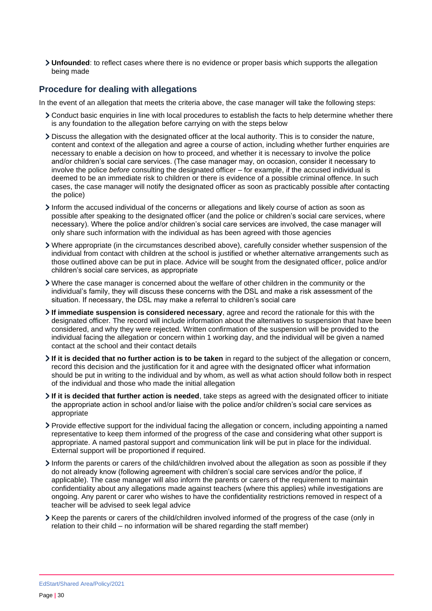**Unfounded**: to reflect cases where there is no evidence or proper basis which supports the allegation being made

## **Procedure for dealing with allegations**

In the event of an allegation that meets the criteria above, the case manager will take the following steps:

- Conduct basic enquiries in line with local procedures to establish the facts to help determine whether there is any foundation to the allegation before carrying on with the steps below
- Discuss the allegation with the designated officer at the local authority. This is to consider the nature, content and context of the allegation and agree a course of action, including whether further enquiries are necessary to enable a decision on how to proceed, and whether it is necessary to involve the police and/or children's social care services. (The case manager may, on occasion, consider it necessary to involve the police *before* consulting the designated officer – for example, if the accused individual is deemed to be an immediate risk to children or there is evidence of a possible criminal offence. In such cases, the case manager will notify the designated officer as soon as practicably possible after contacting the police)
- Inform the accused individual of the concerns or allegations and likely course of action as soon as possible after speaking to the designated officer (and the police or children's social care services, where necessary). Where the police and/or children's social care services are involved, the case manager will only share such information with the individual as has been agreed with those agencies
- Where appropriate (in the circumstances described above), carefully consider whether suspension of the individual from contact with children at the school is justified or whether alternative arrangements such as those outlined above can be put in place. Advice will be sought from the designated officer, police and/or children's social care services, as appropriate
- Where the case manager is concerned about the welfare of other children in the community or the individual's family, they will discuss these concerns with the DSL and make a risk assessment of the situation. If necessary, the DSL may make a referral to children's social care
- **If immediate suspension is considered necessary**, agree and record the rationale for this with the designated officer. The record will include information about the alternatives to suspension that have been considered, and why they were rejected. Written confirmation of the suspension will be provided to the individual facing the allegation or concern within 1 working day, and the individual will be given a named contact at the school and their contact details
- **If it is decided that no further action is to be taken** in regard to the subject of the allegation or concern, record this decision and the justification for it and agree with the designated officer what information should be put in writing to the individual and by whom, as well as what action should follow both in respect of the individual and those who made the initial allegation
- **If it is decided that further action is needed**, take steps as agreed with the designated officer to initiate the appropriate action in school and/or liaise with the police and/or children's social care services as appropriate
- Provide effective support for the individual facing the allegation or concern, including appointing a named representative to keep them informed of the progress of the case and considering what other support is appropriate. A named pastoral support and communication link will be put in place for the individual. External support will be proportioned if required.
- Inform the parents or carers of the child/children involved about the allegation as soon as possible if they do not already know (following agreement with children's social care services and/or the police, if applicable). The case manager will also inform the parents or carers of the requirement to maintain confidentiality about any allegations made against teachers (where this applies) while investigations are ongoing. Any parent or carer who wishes to have the confidentiality restrictions removed in respect of a teacher will be advised to seek legal advice
- Keep the parents or carers of the child/children involved informed of the progress of the case (only in relation to their child – no information will be shared regarding the staff member)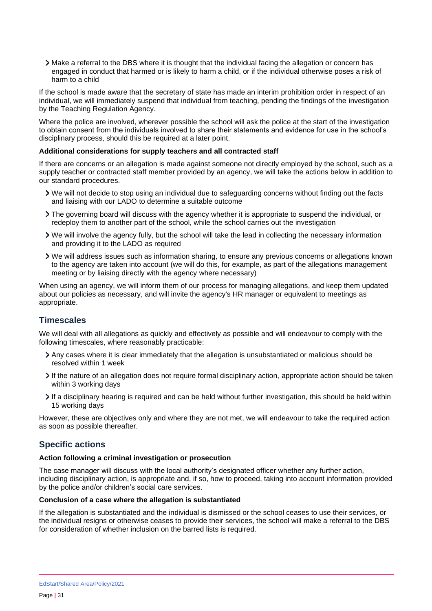Make a referral to the DBS where it is thought that the individual facing the allegation or concern has engaged in conduct that harmed or is likely to harm a child, or if the individual otherwise poses a risk of harm to a child

If the school is made aware that the secretary of state has made an interim prohibition order in respect of an individual, we will immediately suspend that individual from teaching, pending the findings of the investigation by the Teaching Regulation Agency.

Where the police are involved, wherever possible the school will ask the police at the start of the investigation to obtain consent from the individuals involved to share their statements and evidence for use in the school's disciplinary process, should this be required at a later point.

#### **Additional considerations for supply teachers and all contracted staff**

If there are concerns or an allegation is made against someone not directly employed by the school, such as a supply teacher or contracted staff member provided by an agency, we will take the actions below in addition to our standard procedures.

- We will not decide to stop using an individual due to safeguarding concerns without finding out the facts and liaising with our LADO to determine a suitable outcome
- The governing board will discuss with the agency whether it is appropriate to suspend the individual, or redeploy them to another part of the school, while the school carries out the investigation
- We will involve the agency fully, but the school will take the lead in collecting the necessary information and providing it to the LADO as required
- We will address issues such as information sharing, to ensure any previous concerns or allegations known to the agency are taken into account (we will do this, for example, as part of the allegations management meeting or by liaising directly with the agency where necessary)

When using an agency, we will inform them of our process for managing allegations, and keep them updated about our policies as necessary, and will invite the agency's HR manager or equivalent to meetings as appropriate.

## **Timescales**

We will deal with all allegations as quickly and effectively as possible and will endeavour to comply with the following timescales, where reasonably practicable:

- Any cases where it is clear immediately that the allegation is unsubstantiated or malicious should be resolved within 1 week
- If the nature of an allegation does not require formal disciplinary action, appropriate action should be taken within 3 working days
- If a disciplinary hearing is required and can be held without further investigation, this should be held within 15 working days

However, these are objectives only and where they are not met, we will endeavour to take the required action as soon as possible thereafter.

## **Specific actions**

#### **Action following a criminal investigation or prosecution**

The case manager will discuss with the local authority's designated officer whether any further action, including disciplinary action, is appropriate and, if so, how to proceed, taking into account information provided by the police and/or children's social care services.

#### **Conclusion of a case where the allegation is substantiated**

If the allegation is substantiated and the individual is dismissed or the school ceases to use their services, or the individual resigns or otherwise ceases to provide their services, the school will make a referral to the DBS for consideration of whether inclusion on the barred lists is required.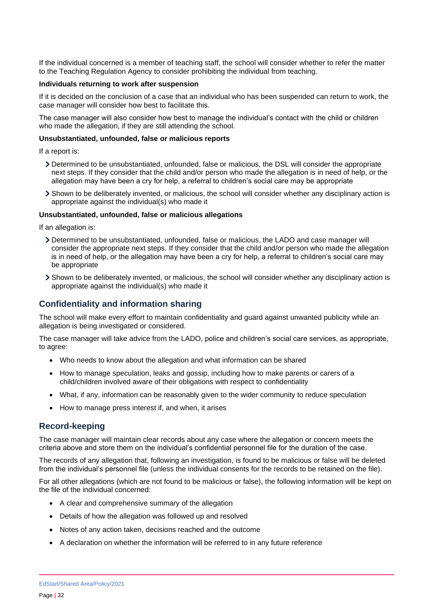If the individual concerned is a member of teaching staff, the school will consider whether to refer the matter to the Teaching Regulation Agency to consider prohibiting the individual from teaching.

#### **Individuals returning to work after suspension**

If it is decided on the conclusion of a case that an individual who has been suspended can return to work, the case manager will consider how best to facilitate this.

The case manager will also consider how best to manage the individual's contact with the child or children who made the allegation, if they are still attending the school.

#### **Unsubstantiated, unfounded, false or malicious reports**

If a report is:

- Determined to be unsubstantiated, unfounded, false or malicious, the DSL will consider the appropriate next steps. If they consider that the child and/or person who made the allegation is in need of help, or the allegation may have been a cry for help, a referral to children's social care may be appropriate
- Shown to be deliberately invented, or malicious, the school will consider whether any disciplinary action is appropriate against the individual(s) who made it

#### **Unsubstantiated, unfounded, false or malicious allegations**

If an allegation is:

- Determined to be unsubstantiated, unfounded, false or malicious, the LADO and case manager will consider the appropriate next steps. If they consider that the child and/or person who made the allegation is in need of help, or the allegation may have been a cry for help, a referral to children's social care may be appropriate
- Shown to be deliberately invented, or malicious, the school will consider whether any disciplinary action is appropriate against the individual(s) who made it

#### **Confidentiality and information sharing**

The school will make every effort to maintain confidentiality and guard against unwanted publicity while an allegation is being investigated or considered.

The case manager will take advice from the LADO, police and children's social care services, as appropriate, to agree:

- Who needs to know about the allegation and what information can be shared
- How to manage speculation, leaks and gossip, including how to make parents or carers of a child/children involved aware of their obligations with respect to confidentiality
- What, if any, information can be reasonably given to the wider community to reduce speculation
- How to manage press interest if, and when, it arises

#### **Record-keeping**

The case manager will maintain clear records about any case where the allegation or concern meets the criteria above and store them on the individual's confidential personnel file for the duration of the case.

The records of any allegation that, following an investigation, is found to be malicious or false will be deleted from the individual's personnel file (unless the individual consents for the records to be retained on the file).

For all other allegations (which are not found to be malicious or false), the following information will be kept on the file of the individual concerned:

- A clear and comprehensive summary of the allegation
- Details of how the allegation was followed up and resolved
- Notes of any action taken, decisions reached and the outcome
- A declaration on whether the information will be referred to in any future reference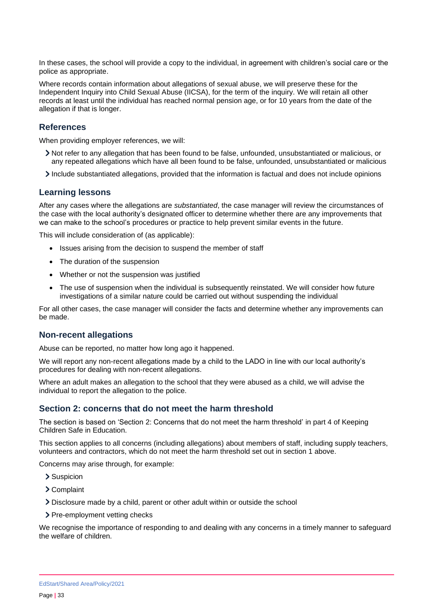In these cases, the school will provide a copy to the individual, in agreement with children's social care or the police as appropriate.

Where records contain information about allegations of sexual abuse, we will preserve these for the Independent Inquiry into Child Sexual Abuse (IICSA), for the term of the inquiry. We will retain all other records at least until the individual has reached normal pension age, or for 10 years from the date of the allegation if that is longer.

## **References**

When providing employer references, we will:

- Not refer to any allegation that has been found to be false, unfounded, unsubstantiated or malicious, or any repeated allegations which have all been found to be false, unfounded, unsubstantiated or malicious
- Include substantiated allegations, provided that the information is factual and does not include opinions

#### **Learning lessons**

After any cases where the allegations are *substantiated*, the case manager will review the circumstances of the case with the local authority's designated officer to determine whether there are any improvements that we can make to the school's procedures or practice to help prevent similar events in the future.

This will include consideration of (as applicable):

- Issues arising from the decision to suspend the member of staff
- The duration of the suspension
- Whether or not the suspension was justified
- The use of suspension when the individual is subsequently reinstated. We will consider how future investigations of a similar nature could be carried out without suspending the individual

For all other cases, the case manager will consider the facts and determine whether any improvements can be made.

#### **Non-recent allegations**

Abuse can be reported, no matter how long ago it happened.

We will report any non-recent allegations made by a child to the LADO in line with our local authority's procedures for dealing with non-recent allegations.

Where an adult makes an allegation to the school that they were abused as a child, we will advise the individual to report the allegation to the police.

#### **Section 2: concerns that do not meet the harm threshold**

The section is based on 'Section 2: Concerns that do not meet the harm threshold' in part 4 of Keeping Children Safe in Education.

This section applies to all concerns (including allegations) about members of staff, including supply teachers, volunteers and contractors, which do not meet the harm threshold set out in section 1 above.

Concerns may arise through, for example:

- > Suspicion
- Complaint
- Disclosure made by a child, parent or other adult within or outside the school
- > Pre-employment vetting checks

We recognise the importance of responding to and dealing with any concerns in a timely manner to safeguard the welfare of children.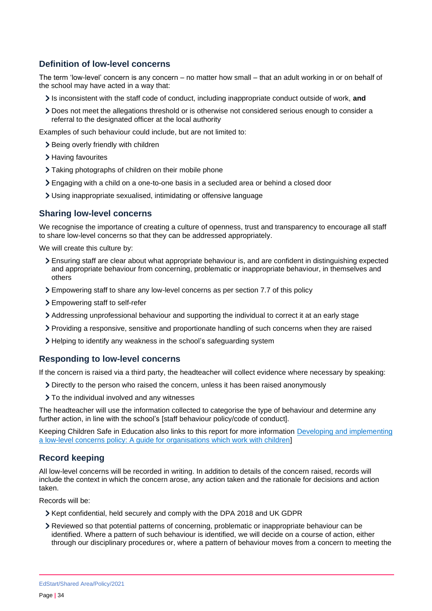## **Definition of low-level concerns**

The term 'low-level' concern is any concern – no matter how small – that an adult working in or on behalf of the school may have acted in a way that:

- Is inconsistent with the staff code of conduct, including inappropriate conduct outside of work, **and**
- Does not meet the allegations threshold or is otherwise not considered serious enough to consider a referral to the designated officer at the local authority

Examples of such behaviour could include, but are not limited to:

- > Being overly friendly with children
- > Having favourites
- > Taking photographs of children on their mobile phone
- Engaging with a child on a one-to-one basis in a secluded area or behind a closed door
- Using inappropriate sexualised, intimidating or offensive language

#### **Sharing low-level concerns**

We recognise the importance of creating a culture of openness, trust and transparency to encourage all staff to share low-level concerns so that they can be addressed appropriately.

We will create this culture by:

- Ensuring staff are clear about what appropriate behaviour is, and are confident in distinguishing expected and appropriate behaviour from concerning, problematic or inappropriate behaviour, in themselves and others
- Empowering staff to share any low-level concerns as per section 7.7 of this policy
- Empowering staff to self-refer
- Addressing unprofessional behaviour and supporting the individual to correct it at an early stage
- Providing a responsive, sensitive and proportionate handling of such concerns when they are raised
- > Helping to identify any weakness in the school's safeguarding system

#### **Responding to low-level concerns**

If the concern is raised via a third party, the headteacher will collect evidence where necessary by speaking:

- Directly to the person who raised the concern, unless it has been raised anonymously
- > To the individual involved and any witnesses

The headteacher will use the information collected to categorise the type of behaviour and determine any further action, in line with the school's [staff behaviour policy/code of conduct].

Keeping Children Safe in Education also links to this report for more information [Developing and implementing](https://www.farrer.co.uk/news-and-insights/developing-and-implementing-a-low-level-concerns-policy-a-guide-for-organisations-which-work-with-children/)  [a low-level concerns policy: A guide for organisations which work with children\]](https://www.farrer.co.uk/news-and-insights/developing-and-implementing-a-low-level-concerns-policy-a-guide-for-organisations-which-work-with-children/)

#### **Record keeping**

All low-level concerns will be recorded in writing. In addition to details of the concern raised, records will include the context in which the concern arose, any action taken and the rationale for decisions and action taken.

Records will be:

- Xept confidential, held securely and comply with the DPA 2018 and UK GDPR
- Reviewed so that potential patterns of concerning, problematic or inappropriate behaviour can be identified. Where a pattern of such behaviour is identified, we will decide on a course of action, either through our disciplinary procedures or, where a pattern of behaviour moves from a concern to meeting the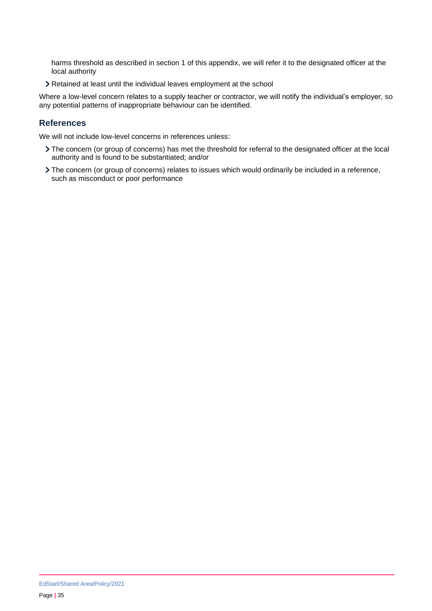harms threshold as described in section 1 of this appendix, we will refer it to the designated officer at the local authority

Retained at least until the individual leaves employment at the school

Where a low-level concern relates to a supply teacher or contractor, we will notify the individual's employer, so any potential patterns of inappropriate behaviour can be identified.

## **References**

We will not include low-level concerns in references unless:

- The concern (or group of concerns) has met the threshold for referral to the designated officer at the local authority and is found to be substantiated; and/or
- The concern (or group of concerns) relates to issues which would ordinarily be included in a reference, such as misconduct or poor performance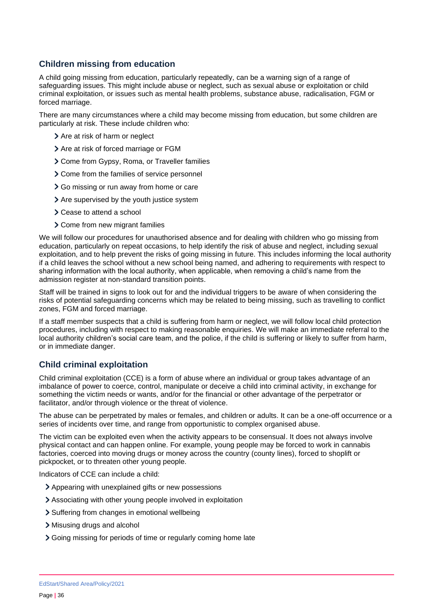## **Children missing from education**

A child going missing from education, particularly repeatedly, can be a warning sign of a range of safeguarding issues. This might include abuse or neglect, such as sexual abuse or exploitation or child criminal exploitation, or issues such as mental health problems, substance abuse, radicalisation, FGM or forced marriage.

There are many circumstances where a child may become missing from education, but some children are particularly at risk. These include children who:

- > Are at risk of harm or neglect
- > Are at risk of forced marriage or FGM
- Come from Gypsy, Roma, or Traveller families
- > Come from the families of service personnel
- > Go missing or run away from home or care
- > Are supervised by the youth justice system
- Cease to attend a school
- Come from new migrant families

We will follow our procedures for unauthorised absence and for dealing with children who go missing from education, particularly on repeat occasions, to help identify the risk of abuse and neglect, including sexual exploitation, and to help prevent the risks of going missing in future. This includes informing the local authority if a child leaves the school without a new school being named, and adhering to requirements with respect to sharing information with the local authority, when applicable, when removing a child's name from the admission register at non-standard transition points.

Staff will be trained in signs to look out for and the individual triggers to be aware of when considering the risks of potential safeguarding concerns which may be related to being missing, such as travelling to conflict zones, FGM and forced marriage.

If a staff member suspects that a child is suffering from harm or neglect, we will follow local child protection procedures, including with respect to making reasonable enquiries. We will make an immediate referral to the local authority children's social care team, and the police, if the child is suffering or likely to suffer from harm, or in immediate danger.

## **Child criminal exploitation**

Child criminal exploitation (CCE) is a form of abuse where an individual or group takes advantage of an imbalance of power to coerce, control, manipulate or deceive a child into criminal activity, in exchange for something the victim needs or wants, and/or for the financial or other advantage of the perpetrator or facilitator, and/or through violence or the threat of violence.

The abuse can be perpetrated by males or females, and children or adults. It can be a one-off occurrence or a series of incidents over time, and range from opportunistic to complex organised abuse.

The victim can be exploited even when the activity appears to be consensual. It does not always involve physical contact and can happen online. For example, young people may be forced to work in cannabis factories, coerced into moving drugs or money across the country (county lines), forced to shoplift or pickpocket, or to threaten other young people.

Indicators of CCE can include a child:

- Appearing with unexplained gifts or new possessions
- Associating with other young people involved in exploitation
- > Suffering from changes in emotional wellbeing
- Misusing drugs and alcohol
- Going missing for periods of time or regularly coming home late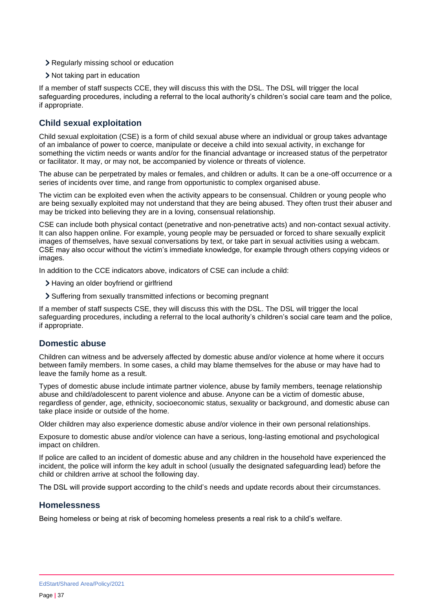- Regularly missing school or education
- Not taking part in education

If a member of staff suspects CCE, they will discuss this with the DSL. The DSL will trigger the local safeguarding procedures, including a referral to the local authority's children's social care team and the police, if appropriate.

## **Child sexual exploitation**

Child sexual exploitation (CSE) is a form of child sexual abuse where an individual or group takes advantage of an imbalance of power to coerce, manipulate or deceive a child into sexual activity, in exchange for something the victim needs or wants and/or for the financial advantage or increased status of the perpetrator or facilitator. It may, or may not, be accompanied by violence or threats of violence.

The abuse can be perpetrated by males or females, and children or adults. It can be a one-off occurrence or a series of incidents over time, and range from opportunistic to complex organised abuse.

The victim can be exploited even when the activity appears to be consensual. Children or young people who are being sexually exploited may not understand that they are being abused. They often trust their abuser and may be tricked into believing they are in a loving, consensual relationship.

CSE can include both physical contact (penetrative and non-penetrative acts) and non-contact sexual activity. It can also happen online. For example, young people may be persuaded or forced to share sexually explicit images of themselves, have sexual conversations by text, or take part in sexual activities using a webcam. CSE may also occur without the victim's immediate knowledge, for example through others copying videos or images.

In addition to the CCE indicators above, indicators of CSE can include a child:

- > Having an older boyfriend or girlfriend
- > Suffering from sexually transmitted infections or becoming pregnant

If a member of staff suspects CSE, they will discuss this with the DSL. The DSL will trigger the local safeguarding procedures, including a referral to the local authority's children's social care team and the police, if appropriate.

#### **Domestic abuse**

Children can witness and be adversely affected by domestic abuse and/or violence at home where it occurs between family members. In some cases, a child may blame themselves for the abuse or may have had to leave the family home as a result.

Types of domestic abuse include intimate partner violence, abuse by family members, teenage relationship abuse and child/adolescent to parent violence and abuse. Anyone can be a victim of domestic abuse, regardless of gender, age, ethnicity, socioeconomic status, sexuality or background, and domestic abuse can take place inside or outside of the home.

Older children may also experience domestic abuse and/or violence in their own personal relationships.

Exposure to domestic abuse and/or violence can have a serious, long-lasting emotional and psychological impact on children.

If police are called to an incident of domestic abuse and any children in the household have experienced the incident, the police will inform the key adult in school (usually the designated safeguarding lead) before the child or children arrive at school the following day.

The DSL will provide support according to the child's needs and update records about their circumstances.

## **Homelessness**

Being homeless or being at risk of becoming homeless presents a real risk to a child's welfare.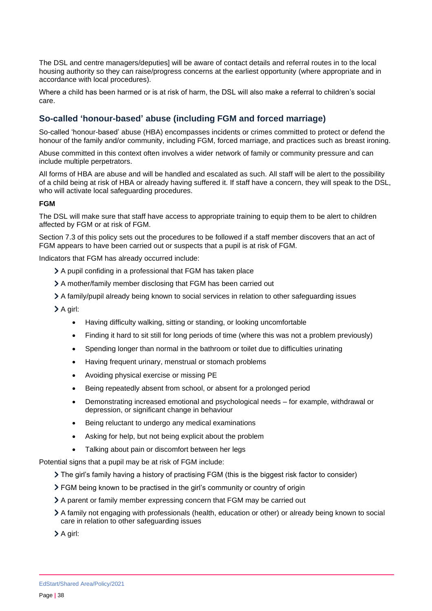The DSL and centre managers/deputies] will be aware of contact details and referral routes in to the local housing authority so they can raise/progress concerns at the earliest opportunity (where appropriate and in accordance with local procedures).

Where a child has been harmed or is at risk of harm, the DSL will also make a referral to children's social care.

## **So-called 'honour-based' abuse (including FGM and forced marriage)**

So-called 'honour-based' abuse (HBA) encompasses incidents or crimes committed to protect or defend the honour of the family and/or community, including FGM, forced marriage, and practices such as breast ironing.

Abuse committed in this context often involves a wider network of family or community pressure and can include multiple perpetrators.

All forms of HBA are abuse and will be handled and escalated as such. All staff will be alert to the possibility of a child being at risk of HBA or already having suffered it. If staff have a concern, they will speak to the DSL, who will activate local safeguarding procedures.

#### **FGM**

The DSL will make sure that staff have access to appropriate training to equip them to be alert to children affected by FGM or at risk of FGM.

Section 7.3 of this policy sets out the procedures to be followed if a staff member discovers that an act of FGM appears to have been carried out or suspects that a pupil is at risk of FGM.

Indicators that FGM has already occurred include:

- A pupil confiding in a professional that FGM has taken place
- A mother/family member disclosing that FGM has been carried out
- A family/pupil already being known to social services in relation to other safeguarding issues

A girl:

- Having difficulty walking, sitting or standing, or looking uncomfortable
- Finding it hard to sit still for long periods of time (where this was not a problem previously)
- Spending longer than normal in the bathroom or toilet due to difficulties urinating
- Having frequent urinary, menstrual or stomach problems
- Avoiding physical exercise or missing PE
- Being repeatedly absent from school, or absent for a prolonged period
- Demonstrating increased emotional and psychological needs for example, withdrawal or depression, or significant change in behaviour
- Being reluctant to undergo any medical examinations
- Asking for help, but not being explicit about the problem
- Talking about pain or discomfort between her legs

Potential signs that a pupil may be at risk of FGM include:

- The girl's family having a history of practising FGM (this is the biggest risk factor to consider)
- FGM being known to be practised in the girl's community or country of origin
- A parent or family member expressing concern that FGM may be carried out
- A family not engaging with professionals (health, education or other) or already being known to social care in relation to other safeguarding issues

A girl: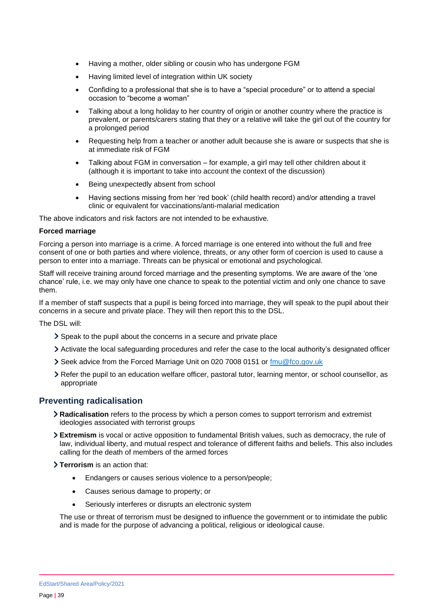- Having a mother, older sibling or cousin who has undergone FGM
- Having limited level of integration within UK society
- Confiding to a professional that she is to have a "special procedure" or to attend a special occasion to "become a woman"
- Talking about a long holiday to her country of origin or another country where the practice is prevalent, or parents/carers stating that they or a relative will take the girl out of the country for a prolonged period
- Requesting help from a teacher or another adult because she is aware or suspects that she is at immediate risk of FGM
- Talking about FGM in conversation for example, a girl may tell other children about it (although it is important to take into account the context of the discussion)
- Being unexpectedly absent from school
- Having sections missing from her 'red book' (child health record) and/or attending a travel clinic or equivalent for vaccinations/anti-malarial medication

The above indicators and risk factors are not intended to be exhaustive.

#### **Forced marriage**

Forcing a person into marriage is a crime. A forced marriage is one entered into without the full and free consent of one or both parties and where violence, threats, or any other form of coercion is used to cause a person to enter into a marriage. Threats can be physical or emotional and psychological.

Staff will receive training around forced marriage and the presenting symptoms. We are aware of the 'one chance' rule, i.e. we may only have one chance to speak to the potential victim and only one chance to save them.

If a member of staff suspects that a pupil is being forced into marriage, they will speak to the pupil about their concerns in a secure and private place. They will then report this to the DSL.

The DSL will:

- Speak to the pupil about the concerns in a secure and private place
- Activate the local safeguarding procedures and refer the case to the local authority's designated officer
- Seek advice from the Forced Marriage Unit on 020 7008 0151 or [fmu@fco.gov.uk](mailto:fmu@fco.gov.uk)
- Refer the pupil to an education welfare officer, pastoral tutor, learning mentor, or school counsellor, as appropriate

## **Preventing radicalisation**

- **Radicalisation** refers to the process by which a person comes to support terrorism and extremist ideologies associated with terrorist groups
- **Extremism** is vocal or active opposition to fundamental British values, such as democracy, the rule of law, individual liberty, and mutual respect and tolerance of different faiths and beliefs. This also includes calling for the death of members of the armed forces

**Terrorism** is an action that:

- Endangers or causes serious violence to a person/people;
- Causes serious damage to property; or
- Seriously interferes or disrupts an electronic system

The use or threat of terrorism must be designed to influence the government or to intimidate the public and is made for the purpose of advancing a political, religious or ideological cause.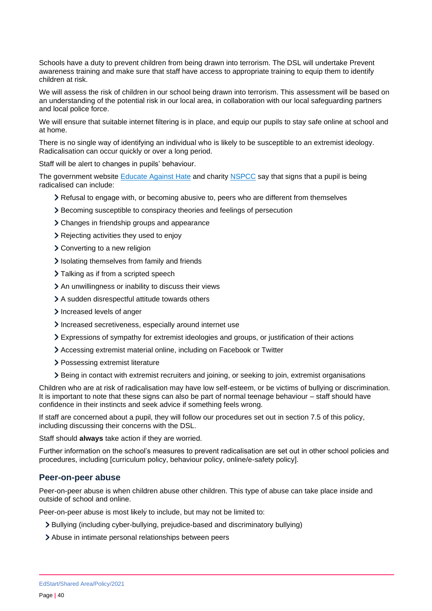Schools have a duty to prevent children from being drawn into terrorism. The DSL will undertake Prevent awareness training and make sure that staff have access to appropriate training to equip them to identify children at risk.

We will assess the risk of children in our school being drawn into terrorism. This assessment will be based on an understanding of the potential risk in our local area, in collaboration with our local safeguarding partners and local police force.

We will ensure that suitable internet filtering is in place, and equip our pupils to stay safe online at school and at home.

There is no single way of identifying an individual who is likely to be susceptible to an extremist ideology. Radicalisation can occur quickly or over a long period.

Staff will be alert to changes in pupils' behaviour.

The government website [Educate Against](http://educateagainsthate.com/parents/what-are-the-warning-signs/) Hate and charity [NSPCC](https://www.nspcc.org.uk/what-you-can-do/report-abuse/dedicated-helplines/protecting-children-from-radicalisation/) say that signs that a pupil is being radicalised can include:

- Refusal to engage with, or becoming abusive to, peers who are different from themselves
- Becoming susceptible to conspiracy theories and feelings of persecution
- > Changes in friendship groups and appearance
- Rejecting activities they used to enjoy
- Converting to a new religion
- Isolating themselves from family and friends
- > Talking as if from a scripted speech
- An unwillingness or inability to discuss their views
- A sudden disrespectful attitude towards others
- Increased levels of anger
- Increased secretiveness, especially around internet use
- Expressions of sympathy for extremist ideologies and groups, or justification of their actions
- Accessing extremist material online, including on Facebook or Twitter
- > Possessing extremist literature
- Being in contact with extremist recruiters and joining, or seeking to join, extremist organisations

Children who are at risk of radicalisation may have low self-esteem, or be victims of bullying or discrimination. It is important to note that these signs can also be part of normal teenage behaviour – staff should have confidence in their instincts and seek advice if something feels wrong.

If staff are concerned about a pupil, they will follow our procedures set out in section 7.5 of this policy, including discussing their concerns with the DSL.

Staff should **always** take action if they are worried.

Further information on the school's measures to prevent radicalisation are set out in other school policies and procedures, including [curriculum policy, behaviour policy, online/e-safety policy].

## **Peer-on-peer abuse**

Peer-on-peer abuse is when children abuse other children. This type of abuse can take place inside and outside of school and online.

Peer-on-peer abuse is most likely to include, but may not be limited to:

- Bullying (including cyber-bullying, prejudice-based and discriminatory bullying)
- Abuse in intimate personal relationships between peers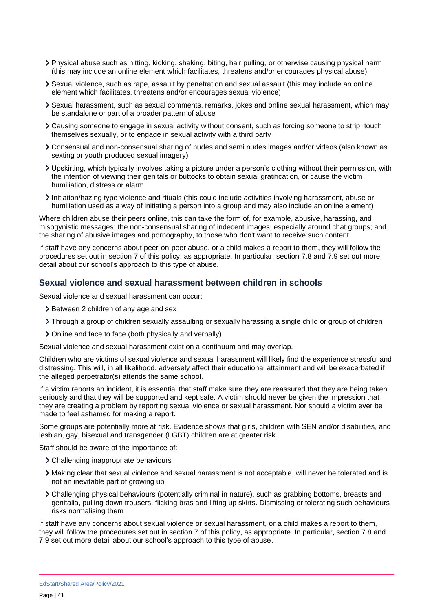- Physical abuse such as hitting, kicking, shaking, biting, hair pulling, or otherwise causing physical harm (this may include an online element which facilitates, threatens and/or encourages physical abuse)
- Sexual violence, such as rape, assault by penetration and sexual assault (this may include an online element which facilitates, threatens and/or encourages sexual violence)
- Sexual harassment, such as sexual comments, remarks, jokes and online sexual harassment, which may be standalone or part of a broader pattern of abuse
- Causing someone to engage in sexual activity without consent, such as forcing someone to strip, touch themselves sexually, or to engage in sexual activity with a third party
- Consensual and non-consensual sharing of nudes and semi nudes images and/or videos (also known as sexting or youth produced sexual imagery)
- Upskirting, which typically involves taking a picture under a person's clothing without their permission, with the intention of viewing their genitals or buttocks to obtain sexual gratification, or cause the victim humiliation, distress or alarm
- Initiation/hazing type violence and rituals (this could include activities involving harassment, abuse or humiliation used as a way of initiating a person into a group and may also include an online element)

Where children abuse their peers online, this can take the form of, for example, abusive, harassing, and misogynistic messages; the non-consensual sharing of indecent images, especially around chat groups; and the sharing of abusive images and pornography, to those who don't want to receive such content.

If staff have any concerns about peer-on-peer abuse, or a child makes a report to them, they will follow the procedures set out in section 7 of this policy, as appropriate. In particular, section 7.8 and 7.9 set out more detail about our school's approach to this type of abuse.

## **Sexual violence and sexual harassment between children in schools**

Sexual violence and sexual harassment can occur:

- > Between 2 children of any age and sex
- Through a group of children sexually assaulting or sexually harassing a single child or group of children
- Online and face to face (both physically and verbally)

Sexual violence and sexual harassment exist on a continuum and may overlap.

Children who are victims of sexual violence and sexual harassment will likely find the experience stressful and distressing. This will, in all likelihood, adversely affect their educational attainment and will be exacerbated if the alleged perpetrator(s) attends the same school.

If a victim reports an incident, it is essential that staff make sure they are reassured that they are being taken seriously and that they will be supported and kept safe. A victim should never be given the impression that they are creating a problem by reporting sexual violence or sexual harassment. Nor should a victim ever be made to feel ashamed for making a report.

Some groups are potentially more at risk. Evidence shows that girls, children with SEN and/or disabilities, and lesbian, gay, bisexual and transgender (LGBT) children are at greater risk.

Staff should be aware of the importance of:

- Challenging inappropriate behaviours
- Making clear that sexual violence and sexual harassment is not acceptable, will never be tolerated and is not an inevitable part of growing up
- Challenging physical behaviours (potentially criminal in nature), such as grabbing bottoms, breasts and genitalia, pulling down trousers, flicking bras and lifting up skirts. Dismissing or tolerating such behaviours risks normalising them

If staff have any concerns about sexual violence or sexual harassment, or a child makes a report to them, they will follow the procedures set out in section 7 of this policy, as appropriate. In particular, section 7.8 and 7.9 set out more detail about our school's approach to this type of abuse.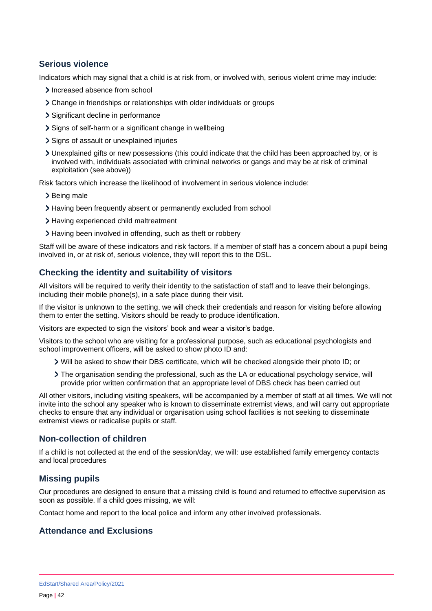## **Serious violence**

Indicators which may signal that a child is at risk from, or involved with, serious violent crime may include:

- > Increased absence from school
- Change in friendships or relationships with older individuals or groups
- > Significant decline in performance
- > Signs of self-harm or a significant change in wellbeing
- Signs of assault or unexplained injuries
- Unexplained gifts or new possessions (this could indicate that the child has been approached by, or is involved with, individuals associated with criminal networks or gangs and may be at risk of criminal exploitation (see above))

Risk factors which increase the likelihood of involvement in serious violence include:

- > Being male
- Having been frequently absent or permanently excluded from school
- > Having experienced child maltreatment
- Having been involved in offending, such as theft or robbery

Staff will be aware of these indicators and risk factors. If a member of staff has a concern about a pupil being involved in, or at risk of, serious violence, they will report this to the DSL.

## **Checking the identity and suitability of visitors**

All visitors will be required to verify their identity to the satisfaction of staff and to leave their belongings, including their mobile phone(s), in a safe place during their visit.

If the visitor is unknown to the setting, we will check their credentials and reason for visiting before allowing them to enter the setting. Visitors should be ready to produce identification.

Visitors are expected to sign the visitors' book and wear a visitor's badge.

Visitors to the school who are visiting for a professional purpose, such as educational psychologists and school improvement officers, will be asked to show photo ID and:

- Will be asked to show their DBS certificate, which will be checked alongside their photo ID; or
- The organisation sending the professional, such as the LA or educational psychology service, will provide prior written confirmation that an appropriate level of DBS check has been carried out

All other visitors, including visiting speakers, will be accompanied by a member of staff at all times. We will not invite into the school any speaker who is known to disseminate extremist views, and will carry out appropriate checks to ensure that any individual or organisation using school facilities is not seeking to disseminate extremist views or radicalise pupils or staff.

## **Non-collection of children**

If a child is not collected at the end of the session/day, we will: use established family emergency contacts and local procedures

## **Missing pupils**

Our procedures are designed to ensure that a missing child is found and returned to effective supervision as soon as possible. If a child goes missing, we will:

Contact home and report to the local police and inform any other involved professionals.

## **Attendance and Exclusions**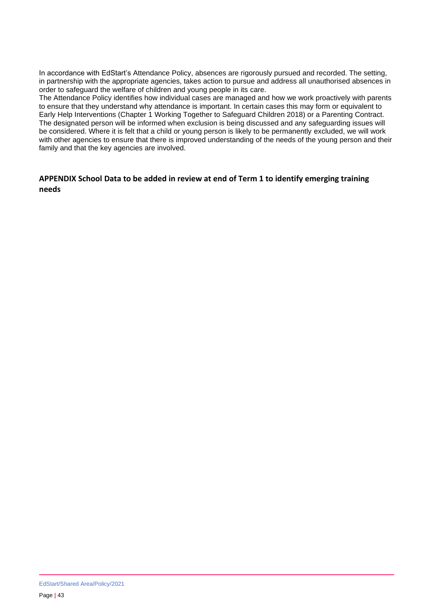In accordance with EdStart's Attendance Policy, absences are rigorously pursued and recorded. The setting, in partnership with the appropriate agencies, takes action to pursue and address all unauthorised absences in order to safeguard the welfare of children and young people in its care.

The Attendance Policy identifies how individual cases are managed and how we work proactively with parents to ensure that they understand why attendance is important. In certain cases this may form or equivalent to Early Help Interventions (Chapter 1 Working Together to Safeguard Children 2018) or a Parenting Contract. The designated person will be informed when exclusion is being discussed and any safeguarding issues will be considered. Where it is felt that a child or young person is likely to be permanently excluded, we will work with other agencies to ensure that there is improved understanding of the needs of the young person and their family and that the key agencies are involved.

## **APPENDIX School Data to be added in review at end of Term 1 to identify emerging training needs**